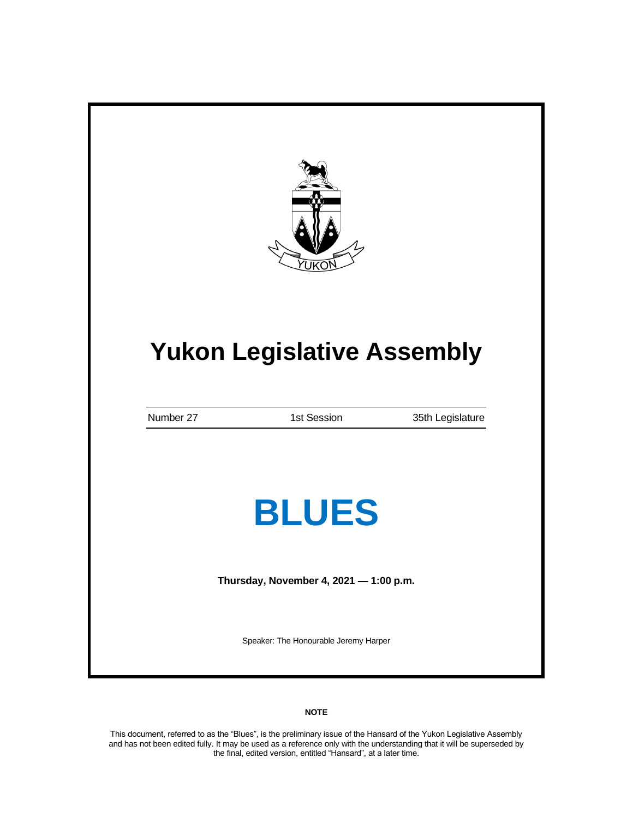|           | <b>Yukon Legislative Assembly</b>      |                  |
|-----------|----------------------------------------|------------------|
| Number 27 | 1st Session                            | 35th Legislature |
|           | <b>BLUES</b>                           |                  |
|           | Thursday, November 4, 2021 - 1:00 p.m. |                  |

# **NOTE**

This document, referred to as the "Blues", is the preliminary issue of the Hansard of the Yukon Legislative Assembly and has not been edited fully. It may be used as a reference only with the understanding that it will be superseded by the final, edited version, entitled "Hansard", at a later time.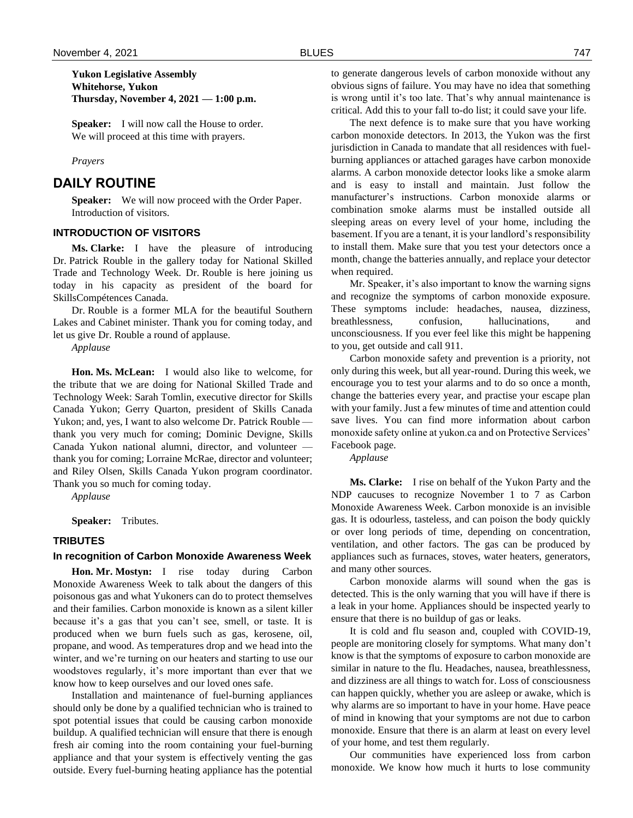# **Yukon Legislative Assembly Whitehorse, Yukon Thursday, November 4, 2021 — 1:00 p.m.**

**Speaker:** I will now call the House to order. We will proceed at this time with prayers.

#### *Prayers*

# **DAILY ROUTINE**

**Speaker:** We will now proceed with the Order Paper. Introduction of visitors.

## **INTRODUCTION OF VISITORS**

**Ms. Clarke:** I have the pleasure of introducing Dr. Patrick Rouble in the gallery today for National Skilled Trade and Technology Week. Dr. Rouble is here joining us today in his capacity as president of the board for SkillsCompétences Canada.

Dr. Rouble is a former MLA for the beautiful Southern Lakes and Cabinet minister. Thank you for coming today, and let us give Dr. Rouble a round of applause.

*Applause*

**Hon. Ms. McLean:** I would also like to welcome, for the tribute that we are doing for National Skilled Trade and Technology Week: Sarah Tomlin, executive director for Skills Canada Yukon; Gerry Quarton, president of Skills Canada Yukon; and, yes, I want to also welcome Dr. Patrick Rouble thank you very much for coming; Dominic Devigne, Skills Canada Yukon national alumni, director, and volunteer thank you for coming; Lorraine McRae, director and volunteer; and Riley Olsen, Skills Canada Yukon program coordinator. Thank you so much for coming today.

*Applause*

**Speaker:** Tributes.

### **TRIBUTES**

# **In recognition of Carbon Monoxide Awareness Week**

**Hon. Mr. Mostyn:** I rise today during Carbon Monoxide Awareness Week to talk about the dangers of this poisonous gas and what Yukoners can do to protect themselves and their families. Carbon monoxide is known as a silent killer because it's a gas that you can't see, smell, or taste. It is produced when we burn fuels such as gas, kerosene, oil, propane, and wood. As temperatures drop and we head into the winter, and we're turning on our heaters and starting to use our woodstoves regularly, it's more important than ever that we know how to keep ourselves and our loved ones safe.

Installation and maintenance of fuel-burning appliances should only be done by a qualified technician who is trained to spot potential issues that could be causing carbon monoxide buildup. A qualified technician will ensure that there is enough fresh air coming into the room containing your fuel-burning appliance and that your system is effectively venting the gas outside. Every fuel-burning heating appliance has the potential to generate dangerous levels of carbon monoxide without any obvious signs of failure. You may have no idea that something is wrong until it's too late. That's why annual maintenance is critical. Add this to your fall to-do list; it could save your life.

The next defence is to make sure that you have working carbon monoxide detectors. In 2013, the Yukon was the first jurisdiction in Canada to mandate that all residences with fuelburning appliances or attached garages have carbon monoxide alarms. A carbon monoxide detector looks like a smoke alarm and is easy to install and maintain. Just follow the manufacturer's instructions. Carbon monoxide alarms or combination smoke alarms must be installed outside all sleeping areas on every level of your home, including the basement. If you are a tenant, it is your landlord's responsibility to install them. Make sure that you test your detectors once a month, change the batteries annually, and replace your detector when required.

Mr. Speaker, it's also important to know the warning signs and recognize the symptoms of carbon monoxide exposure. These symptoms include: headaches, nausea, dizziness, breathlessness, confusion, hallucinations, and unconsciousness. If you ever feel like this might be happening to you, get outside and call 911.

Carbon monoxide safety and prevention is a priority, not only during this week, but all year-round. During this week, we encourage you to test your alarms and to do so once a month, change the batteries every year, and practise your escape plan with your family. Just a few minutes of time and attention could save lives. You can find more information about carbon monoxide safety online at yukon.ca and on Protective Services' Facebook page.

*Applause*

**Ms. Clarke:** I rise on behalf of the Yukon Party and the NDP caucuses to recognize November 1 to 7 as Carbon Monoxide Awareness Week. Carbon monoxide is an invisible gas. It is odourless, tasteless, and can poison the body quickly or over long periods of time, depending on concentration, ventilation, and other factors. The gas can be produced by appliances such as furnaces, stoves, water heaters, generators, and many other sources.

Carbon monoxide alarms will sound when the gas is detected. This is the only warning that you will have if there is a leak in your home. Appliances should be inspected yearly to ensure that there is no buildup of gas or leaks.

It is cold and flu season and, coupled with COVID-19, people are monitoring closely for symptoms. What many don't know is that the symptoms of exposure to carbon monoxide are similar in nature to the flu. Headaches, nausea, breathlessness, and dizziness are all things to watch for. Loss of consciousness can happen quickly, whether you are asleep or awake, which is why alarms are so important to have in your home. Have peace of mind in knowing that your symptoms are not due to carbon monoxide. Ensure that there is an alarm at least on every level of your home, and test them regularly.

Our communities have experienced loss from carbon monoxide. We know how much it hurts to lose community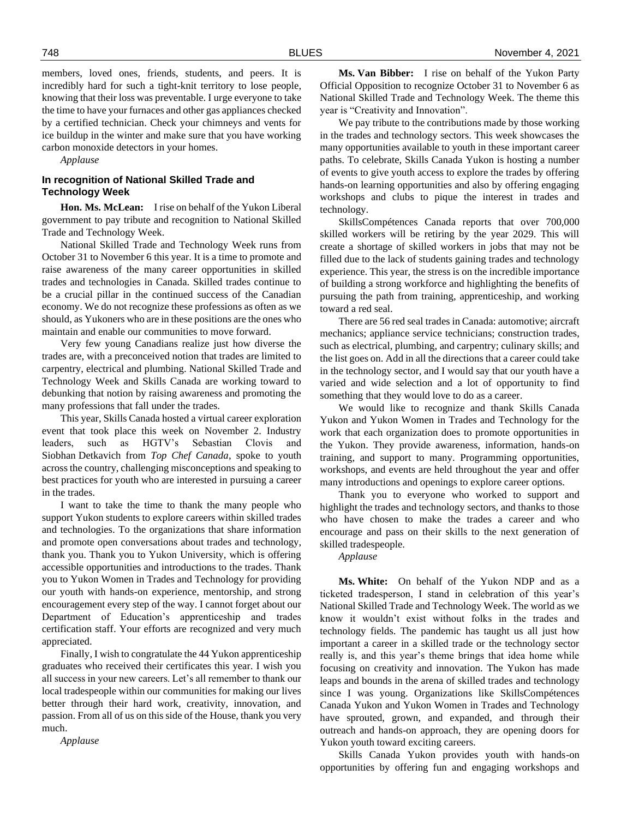members, loved ones, friends, students, and peers. It is incredibly hard for such a tight-knit territory to lose people, knowing that their loss was preventable. I urge everyone to take the time to have your furnaces and other gas appliances checked by a certified technician. Check your chimneys and vents for ice buildup in the winter and make sure that you have working carbon monoxide detectors in your homes.

*Applause*

# **In recognition of National Skilled Trade and Technology Week**

**Hon. Ms. McLean:** I rise on behalf of the Yukon Liberal government to pay tribute and recognition to National Skilled Trade and Technology Week.

National Skilled Trade and Technology Week runs from October 31 to November 6 this year. It is a time to promote and raise awareness of the many career opportunities in skilled trades and technologies in Canada. Skilled trades continue to be a crucial pillar in the continued success of the Canadian economy. We do not recognize these professions as often as we should, as Yukoners who are in these positions are the ones who maintain and enable our communities to move forward.

Very few young Canadians realize just how diverse the trades are, with a preconceived notion that trades are limited to carpentry, electrical and plumbing. National Skilled Trade and Technology Week and Skills Canada are working toward to debunking that notion by raising awareness and promoting the many professions that fall under the trades.

This year, Skills Canada hosted a virtual career exploration event that took place this week on November 2. Industry leaders, such as HGTV's Sebastian Clovis and Siobhan Detkavich from *Top Chef Canada*, spoke to youth across the country, challenging misconceptions and speaking to best practices for youth who are interested in pursuing a career in the trades.

I want to take the time to thank the many people who support Yukon students to explore careers within skilled trades and technologies. To the organizations that share information and promote open conversations about trades and technology, thank you. Thank you to Yukon University, which is offering accessible opportunities and introductions to the trades. Thank you to Yukon Women in Trades and Technology for providing our youth with hands-on experience, mentorship, and strong encouragement every step of the way. I cannot forget about our Department of Education's apprenticeship and trades certification staff. Your efforts are recognized and very much appreciated.

Finally, I wish to congratulate the 44 Yukon apprenticeship graduates who received their certificates this year. I wish you all success in your new careers. Let's all remember to thank our local tradespeople within our communities for making our lives better through their hard work, creativity, innovation, and passion. From all of us on this side of the House, thank you very much.

*Applause*

**Ms. Van Bibber:** I rise on behalf of the Yukon Party Official Opposition to recognize October 31 to November 6 as National Skilled Trade and Technology Week. The theme this year is "Creativity and Innovation".

We pay tribute to the contributions made by those working in the trades and technology sectors. This week showcases the many opportunities available to youth in these important career paths. To celebrate, Skills Canada Yukon is hosting a number of events to give youth access to explore the trades by offering hands-on learning opportunities and also by offering engaging workshops and clubs to pique the interest in trades and technology.

SkillsCompétences Canada reports that over 700,000 skilled workers will be retiring by the year 2029. This will create a shortage of skilled workers in jobs that may not be filled due to the lack of students gaining trades and technology experience. This year, the stress is on the incredible importance of building a strong workforce and highlighting the benefits of pursuing the path from training, apprenticeship, and working toward a red seal.

There are 56 red seal trades in Canada: automotive; aircraft mechanics; appliance service technicians; construction trades, such as electrical, plumbing, and carpentry; culinary skills; and the list goes on. Add in all the directions that a career could take in the technology sector, and I would say that our youth have a varied and wide selection and a lot of opportunity to find something that they would love to do as a career.

We would like to recognize and thank Skills Canada Yukon and Yukon Women in Trades and Technology for the work that each organization does to promote opportunities in the Yukon. They provide awareness, information, hands-on training, and support to many. Programming opportunities, workshops, and events are held throughout the year and offer many introductions and openings to explore career options.

Thank you to everyone who worked to support and highlight the trades and technology sectors, and thanks to those who have chosen to make the trades a career and who encourage and pass on their skills to the next generation of skilled tradespeople.

*Applause*

**Ms. White:** On behalf of the Yukon NDP and as a ticketed tradesperson, I stand in celebration of this year's National Skilled Trade and Technology Week. The world as we know it wouldn't exist without folks in the trades and technology fields. The pandemic has taught us all just how important a career in a skilled trade or the technology sector really is, and this year's theme brings that idea home while focusing on creativity and innovation. The Yukon has made leaps and bounds in the arena of skilled trades and technology since I was young. Organizations like SkillsCompétences Canada Yukon and Yukon Women in Trades and Technology have sprouted, grown, and expanded, and through their outreach and hands-on approach, they are opening doors for Yukon youth toward exciting careers.

Skills Canada Yukon provides youth with hands-on opportunities by offering fun and engaging workshops and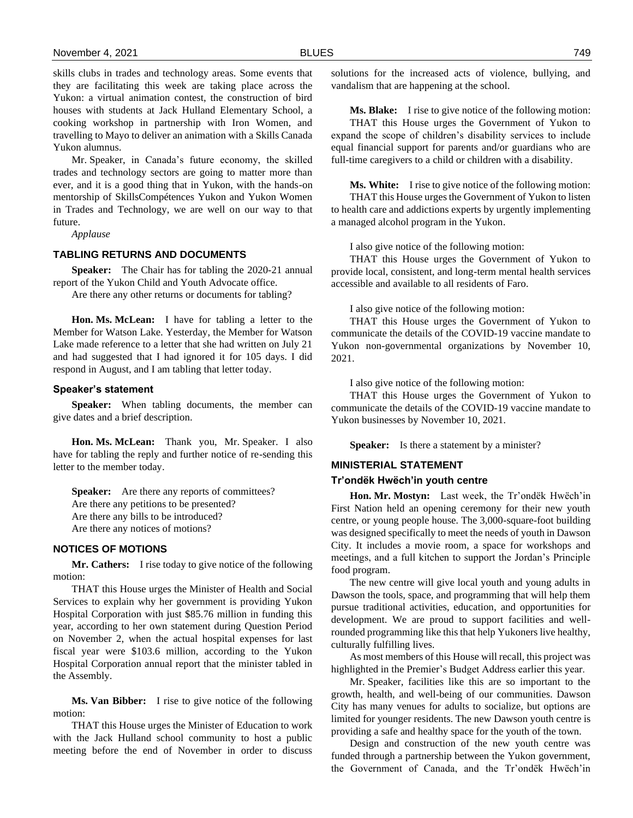skills clubs in trades and technology areas. Some events that they are facilitating this week are taking place across the Yukon: a virtual animation contest, the construction of bird houses with students at Jack Hulland Elementary School, a cooking workshop in partnership with Iron Women, and travelling to Mayo to deliver an animation with a Skills Canada Yukon alumnus.

Mr. Speaker, in Canada's future economy, the skilled trades and technology sectors are going to matter more than ever, and it is a good thing that in Yukon, with the hands-on mentorship of SkillsCompétences Yukon and Yukon Women in Trades and Technology, we are well on our way to that future.

*Applause*

# **TABLING RETURNS AND DOCUMENTS**

**Speaker:** The Chair has for tabling the 2020-21 annual report of the Yukon Child and Youth Advocate office.

Are there any other returns or documents for tabling?

**Hon. Ms. McLean:** I have for tabling a letter to the Member for Watson Lake. Yesterday, the Member for Watson Lake made reference to a letter that she had written on July 21 and had suggested that I had ignored it for 105 days. I did respond in August, and I am tabling that letter today.

#### **Speaker's statement**

**Speaker:** When tabling documents, the member can give dates and a brief description.

**Hon. Ms. McLean:** Thank you, Mr. Speaker. I also have for tabling the reply and further notice of re-sending this letter to the member today.

**Speaker:** Are there any reports of committees? Are there any petitions to be presented? Are there any bills to be introduced? Are there any notices of motions?

### **NOTICES OF MOTIONS**

**Mr. Cathers:** I rise today to give notice of the following motion:

THAT this House urges the Minister of Health and Social Services to explain why her government is providing Yukon Hospital Corporation with just \$85.76 million in funding this year, according to her own statement during Question Period on November 2, when the actual hospital expenses for last fiscal year were \$103.6 million, according to the Yukon Hospital Corporation annual report that the minister tabled in the Assembly.

**Ms. Van Bibber:** I rise to give notice of the following motion:

THAT this House urges the Minister of Education to work with the Jack Hulland school community to host a public meeting before the end of November in order to discuss

solutions for the increased acts of violence, bullying, and vandalism that are happening at the school.

**Ms. Blake:** I rise to give notice of the following motion: THAT this House urges the Government of Yukon to expand the scope of children's disability services to include equal financial support for parents and/or guardians who are full-time caregivers to a child or children with a disability.

**Ms. White:** I rise to give notice of the following motion: THAT this House urges the Government of Yukon to listen to health care and addictions experts by urgently implementing a managed alcohol program in the Yukon.

I also give notice of the following motion:

THAT this House urges the Government of Yukon to provide local, consistent, and long-term mental health services accessible and available to all residents of Faro.

I also give notice of the following motion:

THAT this House urges the Government of Yukon to communicate the details of the COVID-19 vaccine mandate to Yukon non-governmental organizations by November 10, 2021.

I also give notice of the following motion:

THAT this House urges the Government of Yukon to communicate the details of the COVID-19 vaccine mandate to Yukon businesses by November 10, 2021.

**Speaker:** Is there a statement by a minister?

# **MINISTERIAL STATEMENT**

### **Tr'ondëk Hwëch'in youth centre**

**Hon. Mr. Mostyn:** Last week, the Tr'ondëk Hwëch'in First Nation held an opening ceremony for their new youth centre, or young people house. The 3,000-square-foot building was designed specifically to meet the needs of youth in Dawson City. It includes a movie room, a space for workshops and meetings, and a full kitchen to support the Jordan's Principle food program.

The new centre will give local youth and young adults in Dawson the tools, space, and programming that will help them pursue traditional activities, education, and opportunities for development. We are proud to support facilities and wellrounded programming like this that help Yukoners live healthy, culturally fulfilling lives.

As most members of this House will recall, this project was highlighted in the Premier's Budget Address earlier this year.

Mr. Speaker, facilities like this are so important to the growth, health, and well-being of our communities. Dawson City has many venues for adults to socialize, but options are limited for younger residents. The new Dawson youth centre is providing a safe and healthy space for the youth of the town.

Design and construction of the new youth centre was funded through a partnership between the Yukon government, the Government of Canada, and the Tr'ondëk Hwëch'in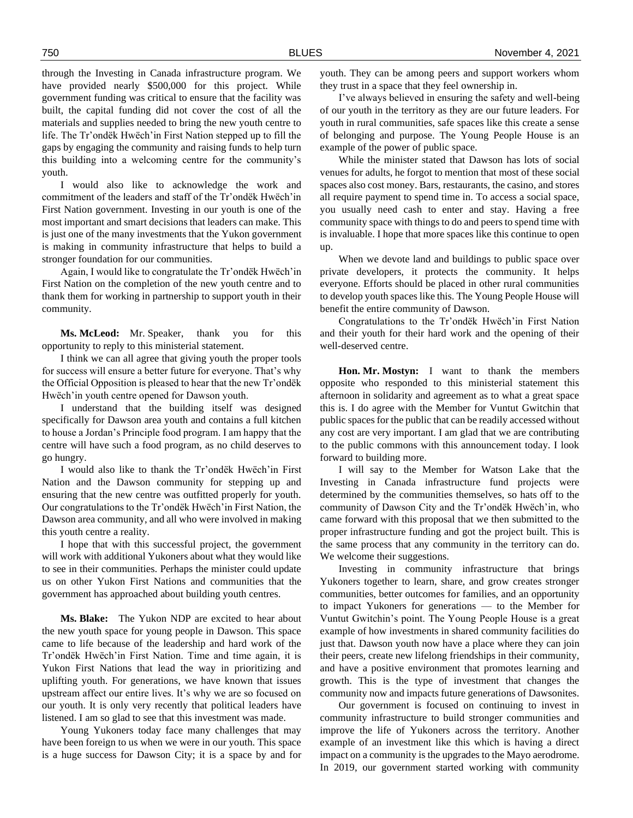through the Investing in Canada infrastructure program. We have provided nearly \$500,000 for this project. While government funding was critical to ensure that the facility was built, the capital funding did not cover the cost of all the materials and supplies needed to bring the new youth centre to life. The Tr'ondëk Hwëch'in First Nation stepped up to fill the gaps by engaging the community and raising funds to help turn this building into a welcoming centre for the community's youth.

I would also like to acknowledge the work and commitment of the leaders and staff of the Tr'ondëk Hwëch'in First Nation government. Investing in our youth is one of the most important and smart decisions that leaders can make. This is just one of the many investments that the Yukon government is making in community infrastructure that helps to build a stronger foundation for our communities.

Again, I would like to congratulate the Tr'ondëk Hwëch'in First Nation on the completion of the new youth centre and to thank them for working in partnership to support youth in their community.

**Ms. McLeod:** Mr. Speaker, thank you for this opportunity to reply to this ministerial statement.

I think we can all agree that giving youth the proper tools for success will ensure a better future for everyone. That's why the Official Opposition is pleased to hear that the new Tr'ondëk Hwëch'in youth centre opened for Dawson youth.

I understand that the building itself was designed specifically for Dawson area youth and contains a full kitchen to house a Jordan's Principle food program. I am happy that the centre will have such a food program, as no child deserves to go hungry.

I would also like to thank the Tr'ondëk Hwëch'in First Nation and the Dawson community for stepping up and ensuring that the new centre was outfitted properly for youth. Our congratulations to the Tr'ondëk Hwëch'in First Nation, the Dawson area community, and all who were involved in making this youth centre a reality.

I hope that with this successful project, the government will work with additional Yukoners about what they would like to see in their communities. Perhaps the minister could update us on other Yukon First Nations and communities that the government has approached about building youth centres.

**Ms. Blake:** The Yukon NDP are excited to hear about the new youth space for young people in Dawson. This space came to life because of the leadership and hard work of the Tr'ondëk Hwëch'in First Nation. Time and time again, it is Yukon First Nations that lead the way in prioritizing and uplifting youth. For generations, we have known that issues upstream affect our entire lives. It's why we are so focused on our youth. It is only very recently that political leaders have listened. I am so glad to see that this investment was made.

Young Yukoners today face many challenges that may have been foreign to us when we were in our youth. This space is a huge success for Dawson City; it is a space by and for youth. They can be among peers and support workers whom they trust in a space that they feel ownership in.

I've always believed in ensuring the safety and well-being of our youth in the territory as they are our future leaders. For youth in rural communities, safe spaces like this create a sense of belonging and purpose. The Young People House is an example of the power of public space.

While the minister stated that Dawson has lots of social venues for adults, he forgot to mention that most of these social spaces also cost money. Bars, restaurants, the casino, and stores all require payment to spend time in. To access a social space, you usually need cash to enter and stay. Having a free community space with things to do and peers to spend time with is invaluable. I hope that more spaces like this continue to open up.

When we devote land and buildings to public space over private developers, it protects the community. It helps everyone. Efforts should be placed in other rural communities to develop youth spaces like this. The Young People House will benefit the entire community of Dawson.

Congratulations to the Tr'ondëk Hwëch'in First Nation and their youth for their hard work and the opening of their well-deserved centre.

**Hon. Mr. Mostyn:** I want to thank the members opposite who responded to this ministerial statement this afternoon in solidarity and agreement as to what a great space this is. I do agree with the Member for Vuntut Gwitchin that public spaces for the public that can be readily accessed without any cost are very important. I am glad that we are contributing to the public commons with this announcement today. I look forward to building more.

I will say to the Member for Watson Lake that the Investing in Canada infrastructure fund projects were determined by the communities themselves, so hats off to the community of Dawson City and the Tr'ondëk Hwëch'in, who came forward with this proposal that we then submitted to the proper infrastructure funding and got the project built. This is the same process that any community in the territory can do. We welcome their suggestions.

Investing in community infrastructure that brings Yukoners together to learn, share, and grow creates stronger communities, better outcomes for families, and an opportunity to impact Yukoners for generations — to the Member for Vuntut Gwitchin's point. The Young People House is a great example of how investments in shared community facilities do just that. Dawson youth now have a place where they can join their peers, create new lifelong friendships in their community, and have a positive environment that promotes learning and growth. This is the type of investment that changes the community now and impacts future generations of Dawsonites.

Our government is focused on continuing to invest in community infrastructure to build stronger communities and improve the life of Yukoners across the territory. Another example of an investment like this which is having a direct impact on a community is the upgrades to the Mayo aerodrome. In 2019, our government started working with community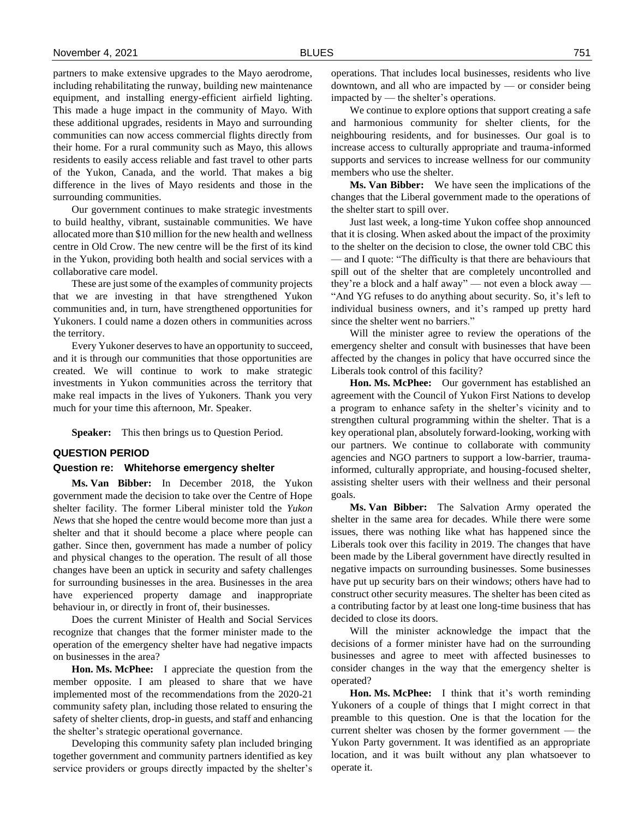partners to make extensive upgrades to the Mayo aerodrome, including rehabilitating the runway, building new maintenance equipment, and installing energy-efficient airfield lighting. This made a huge impact in the community of Mayo. With these additional upgrades, residents in Mayo and surrounding communities can now access commercial flights directly from their home. For a rural community such as Mayo, this allows residents to easily access reliable and fast travel to other parts of the Yukon, Canada, and the world. That makes a big difference in the lives of Mayo residents and those in the surrounding communities.

Our government continues to make strategic investments to build healthy, vibrant, sustainable communities. We have allocated more than \$10 million for the new health and wellness centre in Old Crow. The new centre will be the first of its kind in the Yukon, providing both health and social services with a collaborative care model.

These are just some of the examples of community projects that we are investing in that have strengthened Yukon communities and, in turn, have strengthened opportunities for Yukoners. I could name a dozen others in communities across the territory.

Every Yukoner deserves to have an opportunity to succeed, and it is through our communities that those opportunities are created. We will continue to work to make strategic investments in Yukon communities across the territory that make real impacts in the lives of Yukoners. Thank you very much for your time this afternoon, Mr. Speaker.

**Speaker:** This then brings us to Question Period.

#### **QUESTION PERIOD**

#### **Question re: Whitehorse emergency shelter**

**Ms. Van Bibber:** In December 2018, the Yukon government made the decision to take over the Centre of Hope shelter facility. The former Liberal minister told the *Yukon News* that she hoped the centre would become more than just a shelter and that it should become a place where people can gather. Since then, government has made a number of policy and physical changes to the operation. The result of all those changes have been an uptick in security and safety challenges for surrounding businesses in the area. Businesses in the area have experienced property damage and inappropriate behaviour in, or directly in front of, their businesses.

Does the current Minister of Health and Social Services recognize that changes that the former minister made to the operation of the emergency shelter have had negative impacts on businesses in the area?

**Hon. Ms. McPhee:** I appreciate the question from the member opposite. I am pleased to share that we have implemented most of the recommendations from the 2020-21 community safety plan, including those related to ensuring the safety of shelter clients, drop-in guests, and staff and enhancing the shelter's strategic operational governance.

Developing this community safety plan included bringing together government and community partners identified as key service providers or groups directly impacted by the shelter's operations. That includes local businesses, residents who live downtown, and all who are impacted by  $-$  or consider being impacted by — the shelter's operations.

We continue to explore options that support creating a safe and harmonious community for shelter clients, for the neighbouring residents, and for businesses. Our goal is to increase access to culturally appropriate and trauma-informed supports and services to increase wellness for our community members who use the shelter.

**Ms. Van Bibber:** We have seen the implications of the changes that the Liberal government made to the operations of the shelter start to spill over.

Just last week, a long-time Yukon coffee shop announced that it is closing. When asked about the impact of the proximity to the shelter on the decision to close, the owner told CBC this — and I quote: "The difficulty is that there are behaviours that spill out of the shelter that are completely uncontrolled and they're a block and a half away" — not even a block away — "And YG refuses to do anything about security. So, it's left to individual business owners, and it's ramped up pretty hard since the shelter went no barriers."

Will the minister agree to review the operations of the emergency shelter and consult with businesses that have been affected by the changes in policy that have occurred since the Liberals took control of this facility?

**Hon. Ms. McPhee:** Our government has established an agreement with the Council of Yukon First Nations to develop a program to enhance safety in the shelter's vicinity and to strengthen cultural programming within the shelter. That is a key operational plan, absolutely forward-looking, working with our partners. We continue to collaborate with community agencies and NGO partners to support a low-barrier, traumainformed, culturally appropriate, and housing-focused shelter, assisting shelter users with their wellness and their personal goals.

**Ms. Van Bibber:** The Salvation Army operated the shelter in the same area for decades. While there were some issues, there was nothing like what has happened since the Liberals took over this facility in 2019. The changes that have been made by the Liberal government have directly resulted in negative impacts on surrounding businesses. Some businesses have put up security bars on their windows; others have had to construct other security measures. The shelter has been cited as a contributing factor by at least one long-time business that has decided to close its doors.

Will the minister acknowledge the impact that the decisions of a former minister have had on the surrounding businesses and agree to meet with affected businesses to consider changes in the way that the emergency shelter is operated?

**Hon. Ms. McPhee:** I think that it's worth reminding Yukoners of a couple of things that I might correct in that preamble to this question. One is that the location for the current shelter was chosen by the former government — the Yukon Party government. It was identified as an appropriate location, and it was built without any plan whatsoever to operate it.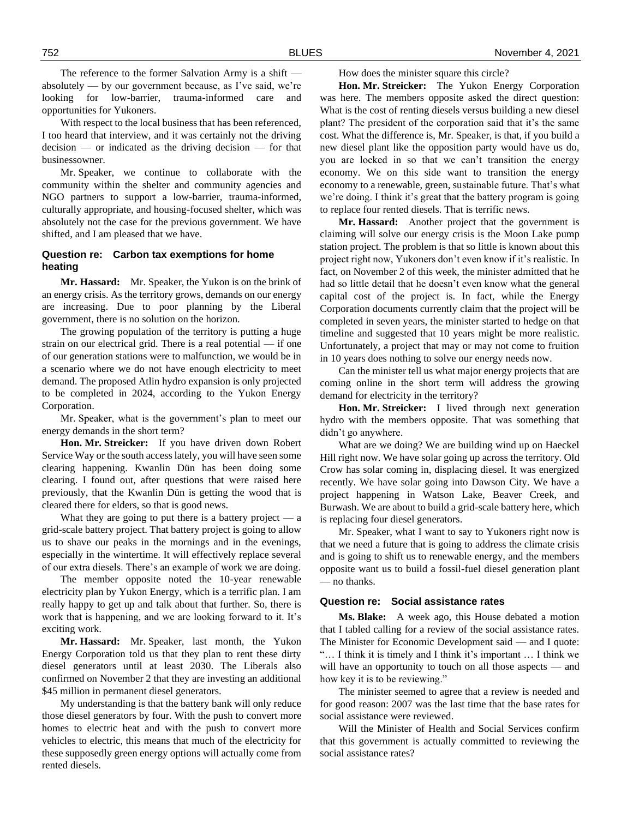The reference to the former Salvation Army is a shift absolutely — by our government because, as I've said, we're looking for low-barrier, trauma-informed care and opportunities for Yukoners.

With respect to the local business that has been referenced, I too heard that interview, and it was certainly not the driving decision — or indicated as the driving decision — for that businessowner.

Mr. Speaker, we continue to collaborate with the community within the shelter and community agencies and NGO partners to support a low-barrier, trauma-informed, culturally appropriate, and housing-focused shelter, which was absolutely not the case for the previous government. We have shifted, and I am pleased that we have.

# **Question re: Carbon tax exemptions for home heating**

**Mr. Hassard:** Mr. Speaker, the Yukon is on the brink of an energy crisis. As the territory grows, demands on our energy are increasing. Due to poor planning by the Liberal government, there is no solution on the horizon.

The growing population of the territory is putting a huge strain on our electrical grid. There is a real potential — if one of our generation stations were to malfunction, we would be in a scenario where we do not have enough electricity to meet demand. The proposed Atlin hydro expansion is only projected to be completed in 2024, according to the Yukon Energy Corporation.

Mr. Speaker, what is the government's plan to meet our energy demands in the short term?

**Hon. Mr. Streicker:** If you have driven down Robert Service Way or the south access lately, you will have seen some clearing happening. Kwanlin Dün has been doing some clearing. I found out, after questions that were raised here previously, that the Kwanlin Dün is getting the wood that is cleared there for elders, so that is good news.

What they are going to put there is a battery project  $-$  a grid-scale battery project. That battery project is going to allow us to shave our peaks in the mornings and in the evenings, especially in the wintertime. It will effectively replace several of our extra diesels. There's an example of work we are doing.

The member opposite noted the 10-year renewable electricity plan by Yukon Energy, which is a terrific plan. I am really happy to get up and talk about that further. So, there is work that is happening, and we are looking forward to it. It's exciting work.

**Mr. Hassard:** Mr. Speaker, last month, the Yukon Energy Corporation told us that they plan to rent these dirty diesel generators until at least 2030. The Liberals also confirmed on November 2 that they are investing an additional \$45 million in permanent diesel generators.

My understanding is that the battery bank will only reduce those diesel generators by four. With the push to convert more homes to electric heat and with the push to convert more vehicles to electric, this means that much of the electricity for these supposedly green energy options will actually come from rented diesels.

How does the minister square this circle?

**Hon. Mr. Streicker:** The Yukon Energy Corporation was here. The members opposite asked the direct question: What is the cost of renting diesels versus building a new diesel plant? The president of the corporation said that it's the same cost. What the difference is, Mr. Speaker, is that, if you build a new diesel plant like the opposition party would have us do, you are locked in so that we can't transition the energy economy. We on this side want to transition the energy economy to a renewable, green, sustainable future. That's what we're doing. I think it's great that the battery program is going to replace four rented diesels. That is terrific news.

**Mr. Hassard:** Another project that the government is claiming will solve our energy crisis is the Moon Lake pump station project. The problem is that so little is known about this project right now, Yukoners don't even know if it's realistic. In fact, on November 2 of this week, the minister admitted that he had so little detail that he doesn't even know what the general capital cost of the project is. In fact, while the Energy Corporation documents currently claim that the project will be completed in seven years, the minister started to hedge on that timeline and suggested that 10 years might be more realistic. Unfortunately, a project that may or may not come to fruition in 10 years does nothing to solve our energy needs now.

Can the minister tell us what major energy projects that are coming online in the short term will address the growing demand for electricity in the territory?

**Hon. Mr. Streicker:** I lived through next generation hydro with the members opposite. That was something that didn't go anywhere.

What are we doing? We are building wind up on Haeckel Hill right now. We have solar going up across the territory. Old Crow has solar coming in, displacing diesel. It was energized recently. We have solar going into Dawson City. We have a project happening in Watson Lake, Beaver Creek, and Burwash. We are about to build a grid-scale battery here, which is replacing four diesel generators.

Mr. Speaker, what I want to say to Yukoners right now is that we need a future that is going to address the climate crisis and is going to shift us to renewable energy, and the members opposite want us to build a fossil-fuel diesel generation plant — no thanks.

### **Question re: Social assistance rates**

**Ms. Blake:** A week ago, this House debated a motion that I tabled calling for a review of the social assistance rates. The Minister for Economic Development said — and I quote: "… I think it is timely and I think it's important … I think we will have an opportunity to touch on all those aspects — and how key it is to be reviewing."

The minister seemed to agree that a review is needed and for good reason: 2007 was the last time that the base rates for social assistance were reviewed.

Will the Minister of Health and Social Services confirm that this government is actually committed to reviewing the social assistance rates?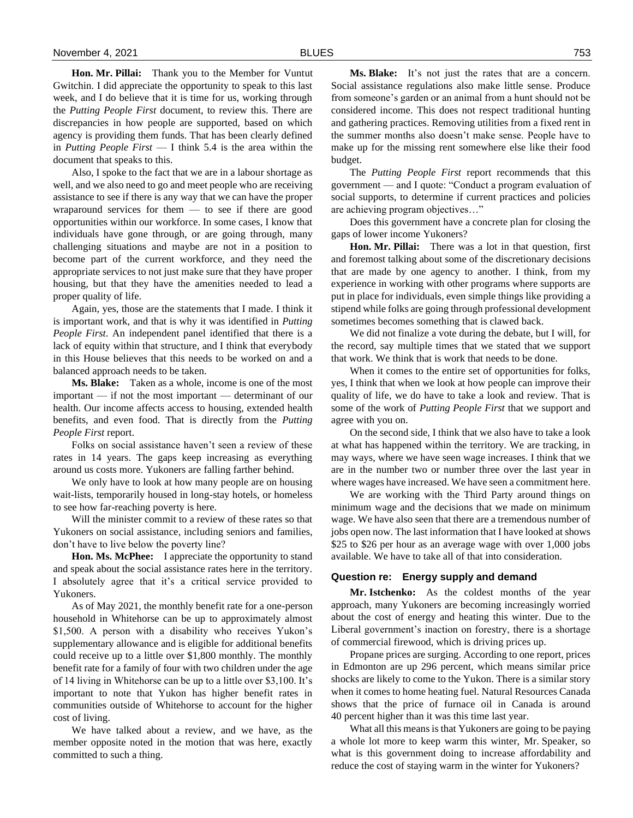**Hon. Mr. Pillai:** Thank you to the Member for Vuntut Gwitchin. I did appreciate the opportunity to speak to this last week, and I do believe that it is time for us, working through the *Putting People First* document, to review this. There are discrepancies in how people are supported, based on which agency is providing them funds. That has been clearly defined in *Putting People First* — I think 5.4 is the area within the document that speaks to this.

Also, I spoke to the fact that we are in a labour shortage as well, and we also need to go and meet people who are receiving assistance to see if there is any way that we can have the proper wraparound services for them — to see if there are good opportunities within our workforce. In some cases, I know that individuals have gone through, or are going through, many challenging situations and maybe are not in a position to become part of the current workforce, and they need the appropriate services to not just make sure that they have proper housing, but that they have the amenities needed to lead a proper quality of life.

Again, yes, those are the statements that I made. I think it is important work, and that is why it was identified in *Putting People First*. An independent panel identified that there is a lack of equity within that structure, and I think that everybody in this House believes that this needs to be worked on and a balanced approach needs to be taken.

**Ms. Blake:** Taken as a whole, income is one of the most important — if not the most important — determinant of our health. Our income affects access to housing, extended health benefits, and even food. That is directly from the *Putting People First* report.

Folks on social assistance haven't seen a review of these rates in 14 years. The gaps keep increasing as everything around us costs more. Yukoners are falling farther behind.

We only have to look at how many people are on housing wait-lists, temporarily housed in long-stay hotels, or homeless to see how far-reaching poverty is here.

Will the minister commit to a review of these rates so that Yukoners on social assistance, including seniors and families, don't have to live below the poverty line?

**Hon. Ms. McPhee:** I appreciate the opportunity to stand and speak about the social assistance rates here in the territory. I absolutely agree that it's a critical service provided to Yukoners.

As of May 2021, the monthly benefit rate for a one-person household in Whitehorse can be up to approximately almost \$1,500. A person with a disability who receives Yukon's supplementary allowance and is eligible for additional benefits could receive up to a little over \$1,800 monthly. The monthly benefit rate for a family of four with two children under the age of 14 living in Whitehorse can be up to a little over \$3,100. It's important to note that Yukon has higher benefit rates in communities outside of Whitehorse to account for the higher cost of living.

We have talked about a review, and we have, as the member opposite noted in the motion that was here, exactly committed to such a thing.

**Ms. Blake:** It's not just the rates that are a concern. Social assistance regulations also make little sense. Produce from someone's garden or an animal from a hunt should not be considered income. This does not respect traditional hunting and gathering practices. Removing utilities from a fixed rent in the summer months also doesn't make sense. People have to make up for the missing rent somewhere else like their food budget.

The *Putting People First* report recommends that this government — and I quote: "Conduct a program evaluation of social supports, to determine if current practices and policies are achieving program objectives…"

Does this government have a concrete plan for closing the gaps of lower income Yukoners?

**Hon. Mr. Pillai:** There was a lot in that question, first and foremost talking about some of the discretionary decisions that are made by one agency to another. I think, from my experience in working with other programs where supports are put in place for individuals, even simple things like providing a stipend while folks are going through professional development sometimes becomes something that is clawed back.

We did not finalize a vote during the debate, but I will, for the record, say multiple times that we stated that we support that work. We think that is work that needs to be done.

When it comes to the entire set of opportunities for folks, yes, I think that when we look at how people can improve their quality of life, we do have to take a look and review. That is some of the work of *Putting People First* that we support and agree with you on.

On the second side, I think that we also have to take a look at what has happened within the territory. We are tracking, in may ways, where we have seen wage increases. I think that we are in the number two or number three over the last year in where wages have increased. We have seen a commitment here.

We are working with the Third Party around things on minimum wage and the decisions that we made on minimum wage. We have also seen that there are a tremendous number of jobs open now. The last information that I have looked at shows \$25 to \$26 per hour as an average wage with over 1,000 jobs available. We have to take all of that into consideration.

# **Question re: Energy supply and demand**

**Mr. Istchenko:** As the coldest months of the year approach, many Yukoners are becoming increasingly worried about the cost of energy and heating this winter. Due to the Liberal government's inaction on forestry, there is a shortage of commercial firewood, which is driving prices up.

Propane prices are surging. According to one report, prices in Edmonton are up 296 percent, which means similar price shocks are likely to come to the Yukon. There is a similar story when it comes to home heating fuel. Natural Resources Canada shows that the price of furnace oil in Canada is around 40 percent higher than it was this time last year.

What all this means is that Yukoners are going to be paying a whole lot more to keep warm this winter, Mr. Speaker, so what is this government doing to increase affordability and reduce the cost of staying warm in the winter for Yukoners?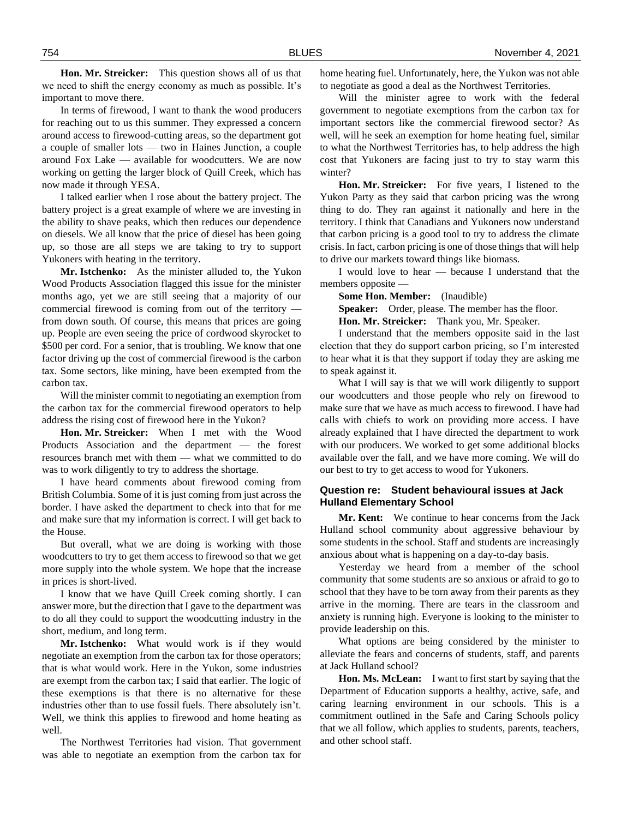**Hon. Mr. Streicker:** This question shows all of us that we need to shift the energy economy as much as possible. It's important to move there.

In terms of firewood, I want to thank the wood producers for reaching out to us this summer. They expressed a concern around access to firewood-cutting areas, so the department got a couple of smaller lots — two in Haines Junction, a couple around Fox Lake — available for woodcutters. We are now working on getting the larger block of Quill Creek, which has now made it through YESA.

I talked earlier when I rose about the battery project. The battery project is a great example of where we are investing in the ability to shave peaks, which then reduces our dependence on diesels. We all know that the price of diesel has been going up, so those are all steps we are taking to try to support Yukoners with heating in the territory.

**Mr. Istchenko:** As the minister alluded to, the Yukon Wood Products Association flagged this issue for the minister months ago, yet we are still seeing that a majority of our commercial firewood is coming from out of the territory from down south. Of course, this means that prices are going up. People are even seeing the price of cordwood skyrocket to \$500 per cord. For a senior, that is troubling. We know that one factor driving up the cost of commercial firewood is the carbon tax. Some sectors, like mining, have been exempted from the carbon tax.

Will the minister commit to negotiating an exemption from the carbon tax for the commercial firewood operators to help address the rising cost of firewood here in the Yukon?

**Hon. Mr. Streicker:** When I met with the Wood Products Association and the department — the forest resources branch met with them — what we committed to do was to work diligently to try to address the shortage.

I have heard comments about firewood coming from British Columbia. Some of it is just coming from just across the border. I have asked the department to check into that for me and make sure that my information is correct. I will get back to the House.

But overall, what we are doing is working with those woodcutters to try to get them access to firewood so that we get more supply into the whole system. We hope that the increase in prices is short-lived.

I know that we have Quill Creek coming shortly. I can answer more, but the direction that I gave to the department was to do all they could to support the woodcutting industry in the short, medium, and long term.

**Mr. Istchenko:** What would work is if they would negotiate an exemption from the carbon tax for those operators; that is what would work. Here in the Yukon, some industries are exempt from the carbon tax; I said that earlier. The logic of these exemptions is that there is no alternative for these industries other than to use fossil fuels. There absolutely isn't. Well, we think this applies to firewood and home heating as well.

The Northwest Territories had vision. That government was able to negotiate an exemption from the carbon tax for

home heating fuel. Unfortunately, here, the Yukon was not able to negotiate as good a deal as the Northwest Territories.

Will the minister agree to work with the federal government to negotiate exemptions from the carbon tax for important sectors like the commercial firewood sector? As well, will he seek an exemption for home heating fuel, similar to what the Northwest Territories has, to help address the high cost that Yukoners are facing just to try to stay warm this winter?

**Hon. Mr. Streicker:** For five years, I listened to the Yukon Party as they said that carbon pricing was the wrong thing to do. They ran against it nationally and here in the territory. I think that Canadians and Yukoners now understand that carbon pricing is a good tool to try to address the climate crisis. In fact, carbon pricing is one of those things that will help to drive our markets toward things like biomass.

I would love to hear — because I understand that the members opposite —

**Some Hon. Member:** (Inaudible)

**Speaker:** Order, please. The member has the floor.

**Hon. Mr. Streicker:** Thank you, Mr. Speaker.

I understand that the members opposite said in the last election that they do support carbon pricing, so I'm interested to hear what it is that they support if today they are asking me to speak against it.

What I will say is that we will work diligently to support our woodcutters and those people who rely on firewood to make sure that we have as much access to firewood. I have had calls with chiefs to work on providing more access. I have already explained that I have directed the department to work with our producers. We worked to get some additional blocks available over the fall, and we have more coming. We will do our best to try to get access to wood for Yukoners.

# **Question re: Student behavioural issues at Jack Hulland Elementary School**

**Mr. Kent:** We continue to hear concerns from the Jack Hulland school community about aggressive behaviour by some students in the school. Staff and students are increasingly anxious about what is happening on a day-to-day basis.

Yesterday we heard from a member of the school community that some students are so anxious or afraid to go to school that they have to be torn away from their parents as they arrive in the morning. There are tears in the classroom and anxiety is running high. Everyone is looking to the minister to provide leadership on this.

What options are being considered by the minister to alleviate the fears and concerns of students, staff, and parents at Jack Hulland school?

**Hon. Ms. McLean:** I want to first start by saying that the Department of Education supports a healthy, active, safe, and caring learning environment in our schools. This is a commitment outlined in the Safe and Caring Schools policy that we all follow, which applies to students, parents, teachers, and other school staff.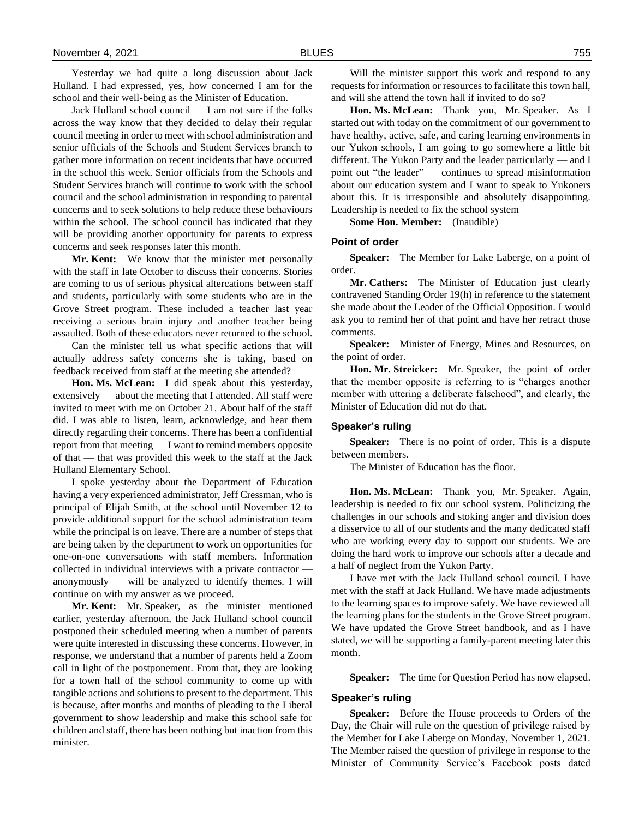Yesterday we had quite a long discussion about Jack Hulland. I had expressed, yes, how concerned I am for the school and their well-being as the Minister of Education.

Jack Hulland school council — I am not sure if the folks across the way know that they decided to delay their regular council meeting in order to meet with school administration and senior officials of the Schools and Student Services branch to gather more information on recent incidents that have occurred in the school this week. Senior officials from the Schools and Student Services branch will continue to work with the school council and the school administration in responding to parental concerns and to seek solutions to help reduce these behaviours within the school. The school council has indicated that they will be providing another opportunity for parents to express concerns and seek responses later this month.

**Mr. Kent:** We know that the minister met personally with the staff in late October to discuss their concerns. Stories are coming to us of serious physical altercations between staff and students, particularly with some students who are in the Grove Street program. These included a teacher last year receiving a serious brain injury and another teacher being assaulted. Both of these educators never returned to the school.

Can the minister tell us what specific actions that will actually address safety concerns she is taking, based on feedback received from staff at the meeting she attended?

**Hon. Ms. McLean:** I did speak about this yesterday, extensively — about the meeting that I attended. All staff were invited to meet with me on October 21. About half of the staff did. I was able to listen, learn, acknowledge, and hear them directly regarding their concerns. There has been a confidential report from that meeting — I want to remind members opposite of that — that was provided this week to the staff at the Jack Hulland Elementary School.

I spoke yesterday about the Department of Education having a very experienced administrator, Jeff Cressman, who is principal of Elijah Smith, at the school until November 12 to provide additional support for the school administration team while the principal is on leave. There are a number of steps that are being taken by the department to work on opportunities for one-on-one conversations with staff members. Information collected in individual interviews with a private contractor anonymously — will be analyzed to identify themes. I will continue on with my answer as we proceed.

**Mr. Kent:** Mr. Speaker, as the minister mentioned earlier, yesterday afternoon, the Jack Hulland school council postponed their scheduled meeting when a number of parents were quite interested in discussing these concerns. However, in response, we understand that a number of parents held a Zoom call in light of the postponement. From that, they are looking for a town hall of the school community to come up with tangible actions and solutions to present to the department. This is because, after months and months of pleading to the Liberal government to show leadership and make this school safe for children and staff, there has been nothing but inaction from this minister.

Will the minister support this work and respond to any requests for information or resources to facilitate this town hall, and will she attend the town hall if invited to do so?

**Hon. Ms. McLean:** Thank you, Mr. Speaker. As I started out with today on the commitment of our government to have healthy, active, safe, and caring learning environments in our Yukon schools, I am going to go somewhere a little bit different. The Yukon Party and the leader particularly — and I point out "the leader" — continues to spread misinformation about our education system and I want to speak to Yukoners about this. It is irresponsible and absolutely disappointing. Leadership is needed to fix the school system —

**Some Hon. Member:** (Inaudible)

#### **Point of order**

**Speaker:** The Member for Lake Laberge, on a point of order.

**Mr. Cathers:** The Minister of Education just clearly contravened Standing Order 19(h) in reference to the statement she made about the Leader of the Official Opposition. I would ask you to remind her of that point and have her retract those comments.

**Speaker:** Minister of Energy, Mines and Resources, on the point of order.

**Hon. Mr. Streicker:** Mr. Speaker, the point of order that the member opposite is referring to is "charges another member with uttering a deliberate falsehood", and clearly, the Minister of Education did not do that.

### **Speaker's ruling**

**Speaker:** There is no point of order. This is a dispute between members.

The Minister of Education has the floor.

**Hon. Ms. McLean:** Thank you, Mr. Speaker. Again, leadership is needed to fix our school system. Politicizing the challenges in our schools and stoking anger and division does a disservice to all of our students and the many dedicated staff who are working every day to support our students. We are doing the hard work to improve our schools after a decade and a half of neglect from the Yukon Party.

I have met with the Jack Hulland school council. I have met with the staff at Jack Hulland. We have made adjustments to the learning spaces to improve safety. We have reviewed all the learning plans for the students in the Grove Street program. We have updated the Grove Street handbook, and as I have stated, we will be supporting a family-parent meeting later this month.

**Speaker:** The time for Question Period has now elapsed.

#### **Speaker's ruling**

**Speaker:** Before the House proceeds to Orders of the Day, the Chair will rule on the question of privilege raised by the Member for Lake Laberge on Monday, November 1, 2021. The Member raised the question of privilege in response to the Minister of Community Service's Facebook posts dated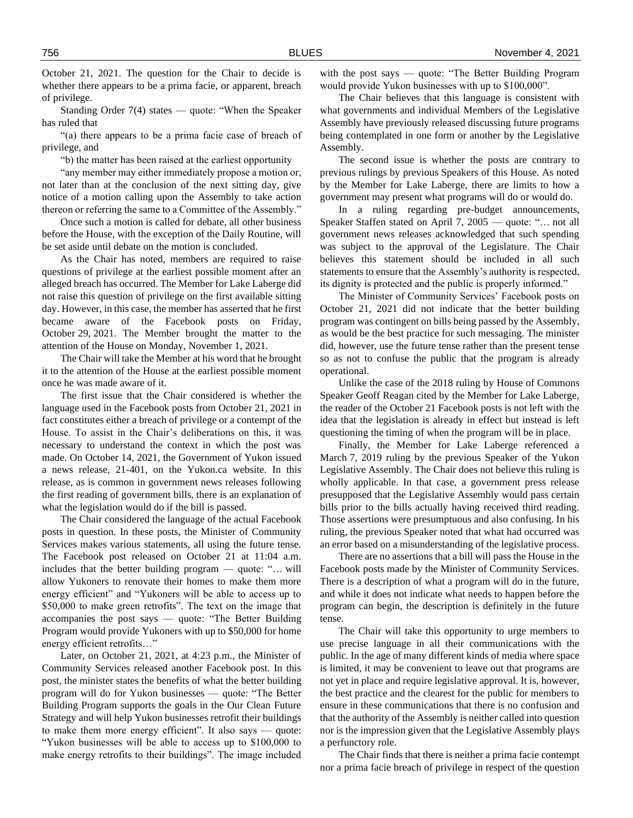October 21, 2021. The question for the Chair to decide is whether there appears to be a prima facie, or apparent, breach of privilege.

Standing Order 7(4) states — quote: "When the Speaker has ruled that

"(a) there appears to be a prima facie case of breach of privilege, and

"b) the matter has been raised at the earliest opportunity

"any member may either immediately propose a motion or, not later than at the conclusion of the next sitting day, give notice of a motion calling upon the Assembly to take action thereon or referring the same to a Committee of the Assembly."

Once such a motion is called for debate, all other business before the House, with the exception of the Daily Routine, will be set aside until debate on the motion is concluded.

As the Chair has noted, members are required to raise questions of privilege at the earliest possible moment after an alleged breach has occurred. The Member for Lake Laberge did not raise this question of privilege on the first available sitting day. However, in this case, the member has asserted that he first became aware of the Facebook posts on Friday, October 29, 2021. The Member brought the matter to the attention of the House on Monday, November 1, 2021.

The Chair will take the Member at his word that he brought it to the attention of the House at the earliest possible moment once he was made aware of it.

The first issue that the Chair considered is whether the language used in the Facebook posts from October 21, 2021 in fact constitutes either a breach of privilege or a contempt of the House. To assist in the Chair's deliberations on this, it was necessary to understand the context in which the post was made. On October 14, 2021, the Government of Yukon issued a news release, 21-401, on the Yukon.ca website. In this release, as is common in government news releases following the first reading of government bills, there is an explanation of what the legislation would do if the bill is passed.

The Chair considered the language of the actual Facebook posts in question. In these posts, the Minister of Community Services makes various statements, all using the future tense. The Facebook post released on October 21 at 11:04 a.m. includes that the better building program — quote: "… will allow Yukoners to renovate their homes to make them more energy efficient" and "Yukoners will be able to access up to \$50,000 to make green retrofits". The text on the image that accompanies the post says — quote: "The Better Building Program would provide Yukoners with up to \$50,000 for home energy efficient retrofits…"

Later, on October 21, 2021, at 4:23 p.m., the Minister of Community Services released another Facebook post. In this post, the minister states the benefits of what the better building program will do for Yukon businesses — quote: "The Better Building Program supports the goals in the Our Clean Future Strategy and will help Yukon businesses retrofit their buildings to make them more energy efficient". It also says — quote: "Yukon businesses will be able to access up to \$100,000 to make energy retrofits to their buildings". The image included

with the post says — quote: "The Better Building Program would provide Yukon businesses with up to \$100,000".

The Chair believes that this language is consistent with what governments and individual Members of the Legislative Assembly have previously released discussing future programs being contemplated in one form or another by the Legislative Assembly.

The second issue is whether the posts are contrary to previous rulings by previous Speakers of this House. As noted by the Member for Lake Laberge, there are limits to how a government may present what programs will do or would do.

In a ruling regarding pre-budget announcements, Speaker Staffen stated on April 7, 2005 — quote: "… not all government news releases acknowledged that such spending was subject to the approval of the Legislature. The Chair believes this statement should be included in all such statements to ensure that the Assembly's authority is respected, its dignity is protected and the public is properly informed."

The Minister of Community Services' Facebook posts on October 21, 2021 did not indicate that the better building program was contingent on bills being passed by the Assembly, as would be the best practice for such messaging. The minister did, however, use the future tense rather than the present tense so as not to confuse the public that the program is already operational.

Unlike the case of the 2018 ruling by House of Commons Speaker Geoff Reagan cited by the Member for Lake Laberge, the reader of the October 21 Facebook posts is not left with the idea that the legislation is already in effect but instead is left questioning the timing of when the program will be in place.

Finally, the Member for Lake Laberge referenced a March 7, 2019 ruling by the previous Speaker of the Yukon Legislative Assembly. The Chair does not believe this ruling is wholly applicable. In that case, a government press release presupposed that the Legislative Assembly would pass certain bills prior to the bills actually having received third reading. Those assertions were presumptuous and also confusing. In his ruling, the previous Speaker noted that what had occurred was an error based on a misunderstanding of the legislative process.

There are no assertions that a bill will pass the House in the Facebook posts made by the Minister of Community Services. There is a description of what a program will do in the future, and while it does not indicate what needs to happen before the program can begin, the description is definitely in the future tense.

The Chair will take this opportunity to urge members to use precise language in all their communications with the public. In the age of many different kinds of media where space is limited, it may be convenient to leave out that programs are not yet in place and require legislative approval. It is, however, the best practice and the clearest for the public for members to ensure in these communications that there is no confusion and that the authority of the Assembly is neither called into question nor is the impression given that the Legislative Assembly plays a perfunctory role.

The Chair finds that there is neither a prima facie contempt nor a prima facie breach of privilege in respect of the question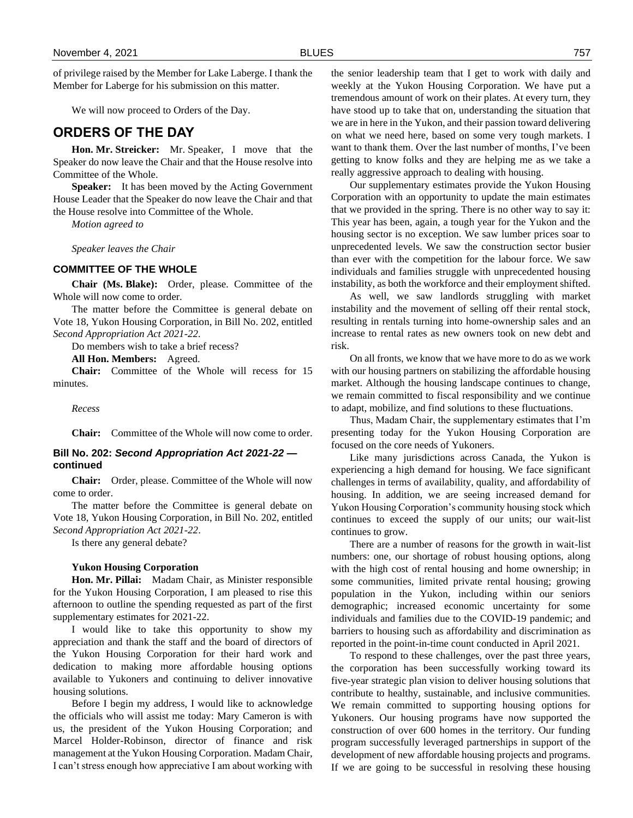of privilege raised by the Member for Lake Laberge. I thank the Member for Laberge for his submission on this matter.

We will now proceed to Orders of the Day.

# **ORDERS OF THE DAY**

**Hon. Mr. Streicker:** Mr. Speaker, I move that the Speaker do now leave the Chair and that the House resolve into Committee of the Whole.

**Speaker:** It has been moved by the Acting Government House Leader that the Speaker do now leave the Chair and that the House resolve into Committee of the Whole.

*Motion agreed to*

*Speaker leaves the Chair*

#### **COMMITTEE OF THE WHOLE**

**Chair (Ms. Blake):** Order, please. Committee of the Whole will now come to order.

The matter before the Committee is general debate on Vote 18, Yukon Housing Corporation, in Bill No. 202, entitled *Second Appropriation Act 2021-22.*

Do members wish to take a brief recess?

**All Hon. Members:** Agreed.

**Chair:** Committee of the Whole will recess for 15 minutes.

*Recess*

**Chair:** Committee of the Whole will now come to order.

# **Bill No. 202:** *Second Appropriation Act 2021-22*  **continued**

**Chair:** Order, please. Committee of the Whole will now come to order.

The matter before the Committee is general debate on Vote 18, Yukon Housing Corporation, in Bill No. 202, entitled *Second Appropriation Act 2021-22*.

Is there any general debate?

### **Yukon Housing Corporation**

**Hon. Mr. Pillai:** Madam Chair, as Minister responsible for the Yukon Housing Corporation, I am pleased to rise this afternoon to outline the spending requested as part of the first supplementary estimates for 2021-22.

I would like to take this opportunity to show my appreciation and thank the staff and the board of directors of the Yukon Housing Corporation for their hard work and dedication to making more affordable housing options available to Yukoners and continuing to deliver innovative housing solutions.

Before I begin my address, I would like to acknowledge the officials who will assist me today: Mary Cameron is with us, the president of the Yukon Housing Corporation; and Marcel Holder-Robinson, director of finance and risk management at the Yukon Housing Corporation. Madam Chair, I can't stress enough how appreciative I am about working with

the senior leadership team that I get to work with daily and weekly at the Yukon Housing Corporation. We have put a tremendous amount of work on their plates. At every turn, they have stood up to take that on, understanding the situation that we are in here in the Yukon, and their passion toward delivering on what we need here, based on some very tough markets. I want to thank them. Over the last number of months, I've been getting to know folks and they are helping me as we take a really aggressive approach to dealing with housing.

Our supplementary estimates provide the Yukon Housing Corporation with an opportunity to update the main estimates that we provided in the spring. There is no other way to say it: This year has been, again, a tough year for the Yukon and the housing sector is no exception. We saw lumber prices soar to unprecedented levels. We saw the construction sector busier than ever with the competition for the labour force. We saw individuals and families struggle with unprecedented housing instability, as both the workforce and their employment shifted.

As well, we saw landlords struggling with market instability and the movement of selling off their rental stock, resulting in rentals turning into home-ownership sales and an increase to rental rates as new owners took on new debt and risk.

On all fronts, we know that we have more to do as we work with our housing partners on stabilizing the affordable housing market. Although the housing landscape continues to change, we remain committed to fiscal responsibility and we continue to adapt, mobilize, and find solutions to these fluctuations.

Thus, Madam Chair, the supplementary estimates that I'm presenting today for the Yukon Housing Corporation are focused on the core needs of Yukoners.

Like many jurisdictions across Canada, the Yukon is experiencing a high demand for housing. We face significant challenges in terms of availability, quality, and affordability of housing. In addition, we are seeing increased demand for Yukon Housing Corporation's community housing stock which continues to exceed the supply of our units; our wait-list continues to grow.

There are a number of reasons for the growth in wait-list numbers: one, our shortage of robust housing options, along with the high cost of rental housing and home ownership; in some communities, limited private rental housing; growing population in the Yukon, including within our seniors demographic; increased economic uncertainty for some individuals and families due to the COVID-19 pandemic; and barriers to housing such as affordability and discrimination as reported in the point-in-time count conducted in April 2021.

To respond to these challenges, over the past three years, the corporation has been successfully working toward its five-year strategic plan vision to deliver housing solutions that contribute to healthy, sustainable, and inclusive communities. We remain committed to supporting housing options for Yukoners. Our housing programs have now supported the construction of over 600 homes in the territory. Our funding program successfully leveraged partnerships in support of the development of new affordable housing projects and programs. If we are going to be successful in resolving these housing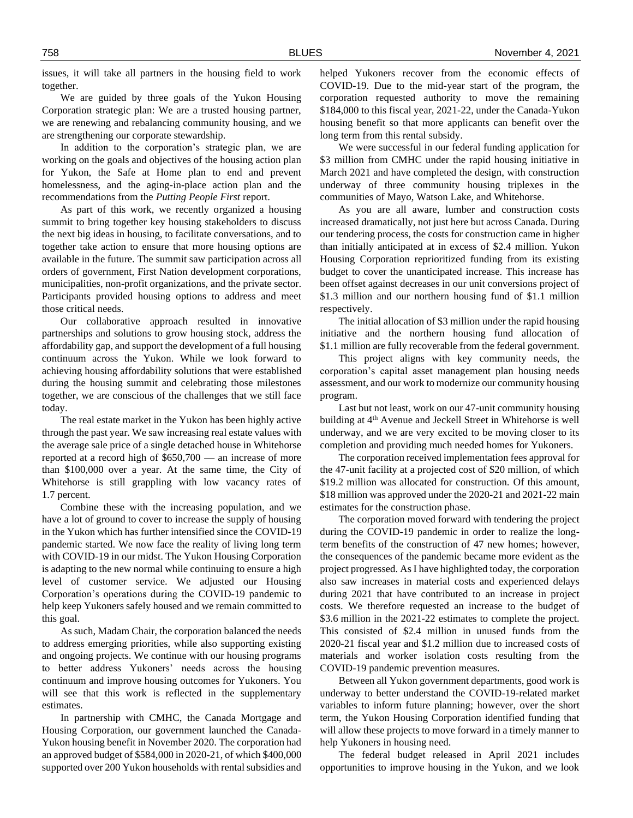issues, it will take all partners in the housing field to work together.

We are guided by three goals of the Yukon Housing Corporation strategic plan: We are a trusted housing partner, we are renewing and rebalancing community housing, and we are strengthening our corporate stewardship.

In addition to the corporation's strategic plan, we are working on the goals and objectives of the housing action plan for Yukon, the Safe at Home plan to end and prevent homelessness, and the aging-in-place action plan and the recommendations from the *Putting People First* report.

As part of this work, we recently organized a housing summit to bring together key housing stakeholders to discuss the next big ideas in housing, to facilitate conversations, and to together take action to ensure that more housing options are available in the future. The summit saw participation across all orders of government, First Nation development corporations, municipalities, non-profit organizations, and the private sector. Participants provided housing options to address and meet those critical needs.

Our collaborative approach resulted in innovative partnerships and solutions to grow housing stock, address the affordability gap, and support the development of a full housing continuum across the Yukon. While we look forward to achieving housing affordability solutions that were established during the housing summit and celebrating those milestones together, we are conscious of the challenges that we still face today.

The real estate market in the Yukon has been highly active through the past year. We saw increasing real estate values with the average sale price of a single detached house in Whitehorse reported at a record high of \$650,700 — an increase of more than \$100,000 over a year. At the same time, the City of Whitehorse is still grappling with low vacancy rates of 1.7 percent.

Combine these with the increasing population, and we have a lot of ground to cover to increase the supply of housing in the Yukon which has further intensified since the COVID-19 pandemic started. We now face the reality of living long term with COVID-19 in our midst. The Yukon Housing Corporation is adapting to the new normal while continuing to ensure a high level of customer service. We adjusted our Housing Corporation's operations during the COVID-19 pandemic to help keep Yukoners safely housed and we remain committed to this goal.

As such, Madam Chair, the corporation balanced the needs to address emerging priorities, while also supporting existing and ongoing projects. We continue with our housing programs to better address Yukoners' needs across the housing continuum and improve housing outcomes for Yukoners. You will see that this work is reflected in the supplementary estimates.

In partnership with CMHC, the Canada Mortgage and Housing Corporation, our government launched the Canada-Yukon housing benefit in November 2020. The corporation had an approved budget of \$584,000 in 2020-21, of which \$400,000 supported over 200 Yukon households with rental subsidies and

helped Yukoners recover from the economic effects of COVID-19. Due to the mid-year start of the program, the corporation requested authority to move the remaining \$184,000 to this fiscal year, 2021-22, under the Canada-Yukon housing benefit so that more applicants can benefit over the long term from this rental subsidy.

We were successful in our federal funding application for \$3 million from CMHC under the rapid housing initiative in March 2021 and have completed the design, with construction underway of three community housing triplexes in the communities of Mayo, Watson Lake, and Whitehorse.

As you are all aware, lumber and construction costs increased dramatically, not just here but across Canada. During our tendering process, the costs for construction came in higher than initially anticipated at in excess of \$2.4 million. Yukon Housing Corporation reprioritized funding from its existing budget to cover the unanticipated increase. This increase has been offset against decreases in our unit conversions project of \$1.3 million and our northern housing fund of \$1.1 million respectively.

The initial allocation of \$3 million under the rapid housing initiative and the northern housing fund allocation of \$1.1 million are fully recoverable from the federal government.

This project aligns with key community needs, the corporation's capital asset management plan housing needs assessment, and our work to modernize our community housing program.

Last but not least, work on our 47-unit community housing building at 4<sup>th</sup> Avenue and Jeckell Street in Whitehorse is well underway, and we are very excited to be moving closer to its completion and providing much needed homes for Yukoners.

The corporation received implementation fees approval for the 47-unit facility at a projected cost of \$20 million, of which \$19.2 million was allocated for construction. Of this amount, \$18 million was approved under the 2020-21 and 2021-22 main estimates for the construction phase.

The corporation moved forward with tendering the project during the COVID-19 pandemic in order to realize the longterm benefits of the construction of 47 new homes; however, the consequences of the pandemic became more evident as the project progressed. As I have highlighted today, the corporation also saw increases in material costs and experienced delays during 2021 that have contributed to an increase in project costs. We therefore requested an increase to the budget of \$3.6 million in the 2021-22 estimates to complete the project. This consisted of \$2.4 million in unused funds from the 2020-21 fiscal year and \$1.2 million due to increased costs of materials and worker isolation costs resulting from the COVID-19 pandemic prevention measures.

Between all Yukon government departments, good work is underway to better understand the COVID-19-related market variables to inform future planning; however, over the short term, the Yukon Housing Corporation identified funding that will allow these projects to move forward in a timely manner to help Yukoners in housing need.

The federal budget released in April 2021 includes opportunities to improve housing in the Yukon, and we look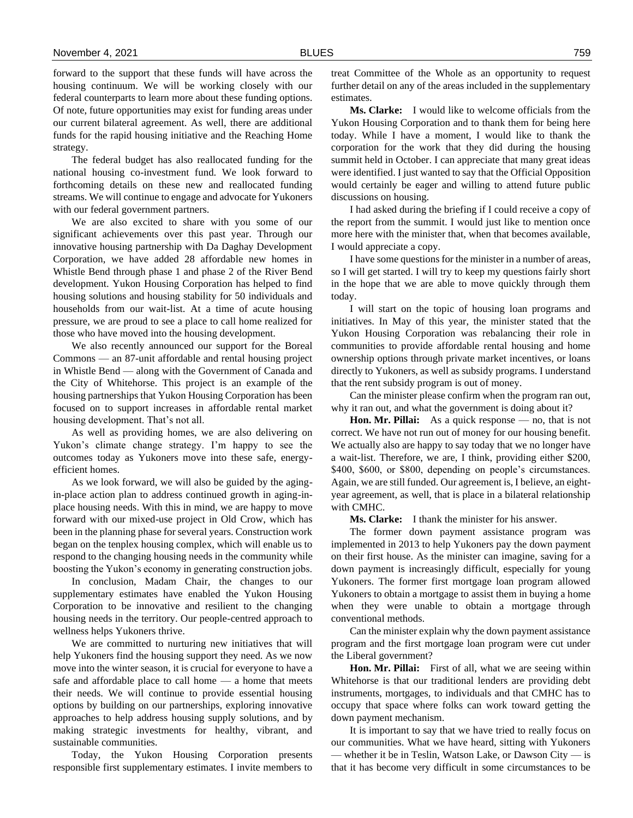forward to the support that these funds will have across the housing continuum. We will be working closely with our federal counterparts to learn more about these funding options. Of note, future opportunities may exist for funding areas under our current bilateral agreement. As well, there are additional funds for the rapid housing initiative and the Reaching Home strategy.

The federal budget has also reallocated funding for the national housing co-investment fund. We look forward to forthcoming details on these new and reallocated funding streams. We will continue to engage and advocate for Yukoners with our federal government partners.

We are also excited to share with you some of our significant achievements over this past year. Through our innovative housing partnership with Da Daghay Development Corporation, we have added 28 affordable new homes in Whistle Bend through phase 1 and phase 2 of the River Bend development. Yukon Housing Corporation has helped to find housing solutions and housing stability for 50 individuals and households from our wait-list. At a time of acute housing pressure, we are proud to see a place to call home realized for those who have moved into the housing development.

We also recently announced our support for the Boreal Commons — an 87-unit affordable and rental housing project in Whistle Bend — along with the Government of Canada and the City of Whitehorse. This project is an example of the housing partnerships that Yukon Housing Corporation has been focused on to support increases in affordable rental market housing development. That's not all.

As well as providing homes, we are also delivering on Yukon's climate change strategy. I'm happy to see the outcomes today as Yukoners move into these safe, energyefficient homes.

As we look forward, we will also be guided by the agingin-place action plan to address continued growth in aging-inplace housing needs. With this in mind, we are happy to move forward with our mixed-use project in Old Crow, which has been in the planning phase for several years. Construction work began on the tenplex housing complex, which will enable us to respond to the changing housing needs in the community while boosting the Yukon's economy in generating construction jobs.

In conclusion, Madam Chair, the changes to our supplementary estimates have enabled the Yukon Housing Corporation to be innovative and resilient to the changing housing needs in the territory. Our people-centred approach to wellness helps Yukoners thrive.

We are committed to nurturing new initiatives that will help Yukoners find the housing support they need. As we now move into the winter season, it is crucial for everyone to have a safe and affordable place to call home — a home that meets their needs. We will continue to provide essential housing options by building on our partnerships, exploring innovative approaches to help address housing supply solutions, and by making strategic investments for healthy, vibrant, and sustainable communities.

Today, the Yukon Housing Corporation presents responsible first supplementary estimates. I invite members to

treat Committee of the Whole as an opportunity to request further detail on any of the areas included in the supplementary estimates.

**Ms. Clarke:** I would like to welcome officials from the Yukon Housing Corporation and to thank them for being here today. While I have a moment, I would like to thank the corporation for the work that they did during the housing summit held in October. I can appreciate that many great ideas were identified. I just wanted to say that the Official Opposition would certainly be eager and willing to attend future public discussions on housing.

I had asked during the briefing if I could receive a copy of the report from the summit. I would just like to mention once more here with the minister that, when that becomes available, I would appreciate a copy.

I have some questions for the minister in a number of areas, so I will get started. I will try to keep my questions fairly short in the hope that we are able to move quickly through them today.

I will start on the topic of housing loan programs and initiatives. In May of this year, the minister stated that the Yukon Housing Corporation was rebalancing their role in communities to provide affordable rental housing and home ownership options through private market incentives, or loans directly to Yukoners, as well as subsidy programs. I understand that the rent subsidy program is out of money.

Can the minister please confirm when the program ran out, why it ran out, and what the government is doing about it?

**Hon. Mr. Pillai:** As a quick response — no, that is not correct. We have not run out of money for our housing benefit. We actually also are happy to say today that we no longer have a wait-list. Therefore, we are, I think, providing either \$200, \$400, \$600, or \$800, depending on people's circumstances. Again, we are still funded. Our agreement is, I believe, an eightyear agreement, as well, that is place in a bilateral relationship with CMHC.

**Ms. Clarke:** I thank the minister for his answer.

The former down payment assistance program was implemented in 2013 to help Yukoners pay the down payment on their first house. As the minister can imagine, saving for a down payment is increasingly difficult, especially for young Yukoners. The former first mortgage loan program allowed Yukoners to obtain a mortgage to assist them in buying a home when they were unable to obtain a mortgage through conventional methods.

Can the minister explain why the down payment assistance program and the first mortgage loan program were cut under the Liberal government?

**Hon. Mr. Pillai:** First of all, what we are seeing within Whitehorse is that our traditional lenders are providing debt instruments, mortgages, to individuals and that CMHC has to occupy that space where folks can work toward getting the down payment mechanism.

It is important to say that we have tried to really focus on our communities. What we have heard, sitting with Yukoners — whether it be in Teslin, Watson Lake, or Dawson City — is that it has become very difficult in some circumstances to be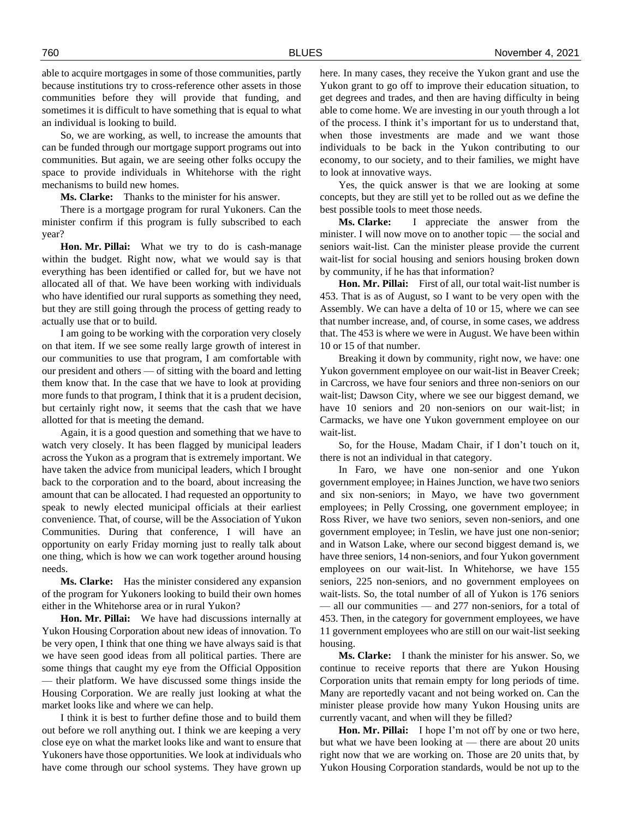able to acquire mortgages in some of those communities, partly because institutions try to cross-reference other assets in those communities before they will provide that funding, and sometimes it is difficult to have something that is equal to what an individual is looking to build.

So, we are working, as well, to increase the amounts that can be funded through our mortgage support programs out into communities. But again, we are seeing other folks occupy the space to provide individuals in Whitehorse with the right mechanisms to build new homes.

**Ms. Clarke:** Thanks to the minister for his answer.

There is a mortgage program for rural Yukoners. Can the minister confirm if this program is fully subscribed to each year?

**Hon. Mr. Pillai:** What we try to do is cash-manage within the budget. Right now, what we would say is that everything has been identified or called for, but we have not allocated all of that. We have been working with individuals who have identified our rural supports as something they need, but they are still going through the process of getting ready to actually use that or to build.

I am going to be working with the corporation very closely on that item. If we see some really large growth of interest in our communities to use that program, I am comfortable with our president and others — of sitting with the board and letting them know that. In the case that we have to look at providing more funds to that program, I think that it is a prudent decision, but certainly right now, it seems that the cash that we have allotted for that is meeting the demand.

Again, it is a good question and something that we have to watch very closely. It has been flagged by municipal leaders across the Yukon as a program that is extremely important. We have taken the advice from municipal leaders, which I brought back to the corporation and to the board, about increasing the amount that can be allocated. I had requested an opportunity to speak to newly elected municipal officials at their earliest convenience. That, of course, will be the Association of Yukon Communities. During that conference, I will have an opportunity on early Friday morning just to really talk about one thing, which is how we can work together around housing needs.

**Ms. Clarke:** Has the minister considered any expansion of the program for Yukoners looking to build their own homes either in the Whitehorse area or in rural Yukon?

**Hon. Mr. Pillai:** We have had discussions internally at Yukon Housing Corporation about new ideas of innovation. To be very open, I think that one thing we have always said is that we have seen good ideas from all political parties. There are some things that caught my eye from the Official Opposition — their platform. We have discussed some things inside the Housing Corporation. We are really just looking at what the market looks like and where we can help.

I think it is best to further define those and to build them out before we roll anything out. I think we are keeping a very close eye on what the market looks like and want to ensure that Yukoners have those opportunities. We look at individuals who have come through our school systems. They have grown up

here. In many cases, they receive the Yukon grant and use the Yukon grant to go off to improve their education situation, to get degrees and trades, and then are having difficulty in being able to come home. We are investing in our youth through a lot of the process. I think it's important for us to understand that, when those investments are made and we want those individuals to be back in the Yukon contributing to our economy, to our society, and to their families, we might have to look at innovative ways.

Yes, the quick answer is that we are looking at some concepts, but they are still yet to be rolled out as we define the best possible tools to meet those needs.

**Ms. Clarke:** I appreciate the answer from the minister. I will now move on to another topic — the social and seniors wait-list. Can the minister please provide the current wait-list for social housing and seniors housing broken down by community, if he has that information?

**Hon. Mr. Pillai:** First of all, our total wait-list number is 453. That is as of August, so I want to be very open with the Assembly. We can have a delta of 10 or 15, where we can see that number increase, and, of course, in some cases, we address that. The 453 is where we were in August. We have been within 10 or 15 of that number.

Breaking it down by community, right now, we have: one Yukon government employee on our wait-list in Beaver Creek; in Carcross, we have four seniors and three non-seniors on our wait-list; Dawson City, where we see our biggest demand, we have 10 seniors and 20 non-seniors on our wait-list; in Carmacks, we have one Yukon government employee on our wait-list.

So, for the House, Madam Chair, if I don't touch on it, there is not an individual in that category.

In Faro, we have one non-senior and one Yukon government employee; in Haines Junction, we have two seniors and six non-seniors; in Mayo, we have two government employees; in Pelly Crossing, one government employee; in Ross River, we have two seniors, seven non-seniors, and one government employee; in Teslin, we have just one non-senior; and in Watson Lake, where our second biggest demand is, we have three seniors, 14 non-seniors, and four Yukon government employees on our wait-list. In Whitehorse, we have 155 seniors, 225 non-seniors, and no government employees on wait-lists. So, the total number of all of Yukon is 176 seniors — all our communities — and 277 non-seniors, for a total of 453. Then, in the category for government employees, we have 11 government employees who are still on our wait-list seeking housing.

**Ms. Clarke:** I thank the minister for his answer. So, we continue to receive reports that there are Yukon Housing Corporation units that remain empty for long periods of time. Many are reportedly vacant and not being worked on. Can the minister please provide how many Yukon Housing units are currently vacant, and when will they be filled?

**Hon. Mr. Pillai:** I hope I'm not off by one or two here, but what we have been looking at — there are about 20 units right now that we are working on. Those are 20 units that, by Yukon Housing Corporation standards, would be not up to the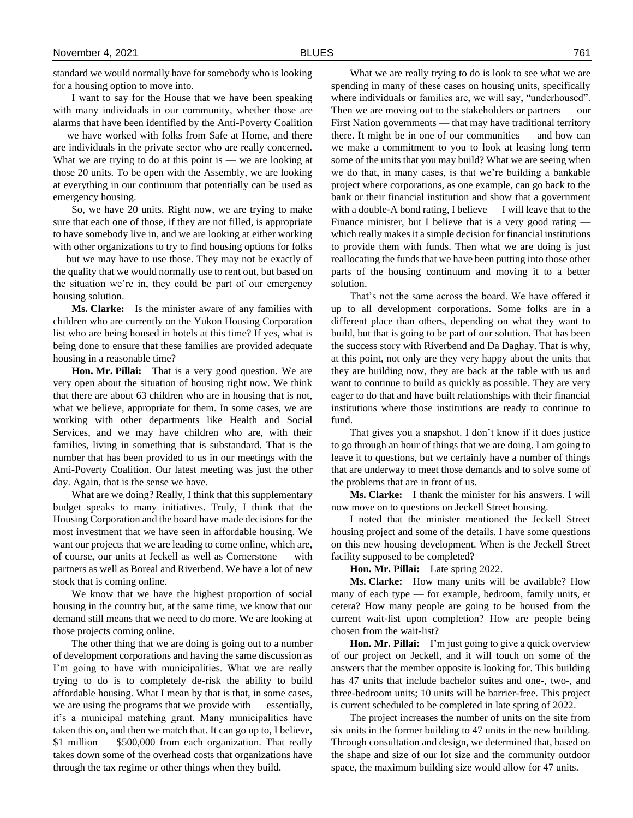standard we would normally have for somebody who is looking for a housing option to move into.

I want to say for the House that we have been speaking with many individuals in our community, whether those are alarms that have been identified by the Anti-Poverty Coalition — we have worked with folks from Safe at Home, and there are individuals in the private sector who are really concerned. What we are trying to do at this point is — we are looking at those 20 units. To be open with the Assembly, we are looking at everything in our continuum that potentially can be used as emergency housing.

So, we have 20 units. Right now, we are trying to make sure that each one of those, if they are not filled, is appropriate to have somebody live in, and we are looking at either working with other organizations to try to find housing options for folks — but we may have to use those. They may not be exactly of the quality that we would normally use to rent out, but based on the situation we're in, they could be part of our emergency housing solution.

**Ms. Clarke:** Is the minister aware of any families with children who are currently on the Yukon Housing Corporation list who are being housed in hotels at this time? If yes, what is being done to ensure that these families are provided adequate housing in a reasonable time?

**Hon. Mr. Pillai:** That is a very good question. We are very open about the situation of housing right now. We think that there are about 63 children who are in housing that is not, what we believe, appropriate for them. In some cases, we are working with other departments like Health and Social Services, and we may have children who are, with their families, living in something that is substandard. That is the number that has been provided to us in our meetings with the Anti-Poverty Coalition. Our latest meeting was just the other day. Again, that is the sense we have.

What are we doing? Really, I think that this supplementary budget speaks to many initiatives. Truly, I think that the Housing Corporation and the board have made decisions for the most investment that we have seen in affordable housing. We want our projects that we are leading to come online, which are, of course, our units at Jeckell as well as Cornerstone — with partners as well as Boreal and Riverbend. We have a lot of new stock that is coming online.

We know that we have the highest proportion of social housing in the country but, at the same time, we know that our demand still means that we need to do more. We are looking at those projects coming online.

The other thing that we are doing is going out to a number of development corporations and having the same discussion as I'm going to have with municipalities. What we are really trying to do is to completely de-risk the ability to build affordable housing. What I mean by that is that, in some cases, we are using the programs that we provide with — essentially, it's a municipal matching grant. Many municipalities have taken this on, and then we match that. It can go up to, I believe, \$1 million — \$500,000 from each organization. That really takes down some of the overhead costs that organizations have through the tax regime or other things when they build.

What we are really trying to do is look to see what we are spending in many of these cases on housing units, specifically where individuals or families are, we will say, "underhoused". Then we are moving out to the stakeholders or partners — our First Nation governments — that may have traditional territory there. It might be in one of our communities — and how can we make a commitment to you to look at leasing long term some of the units that you may build? What we are seeing when we do that, in many cases, is that we're building a bankable project where corporations, as one example, can go back to the bank or their financial institution and show that a government with a double-A bond rating, I believe — I will leave that to the Finance minister, but I believe that is a very good rating which really makes it a simple decision for financial institutions to provide them with funds. Then what we are doing is just reallocating the funds that we have been putting into those other parts of the housing continuum and moving it to a better solution.

That's not the same across the board. We have offered it up to all development corporations. Some folks are in a different place than others, depending on what they want to build, but that is going to be part of our solution. That has been the success story with Riverbend and Da Daghay. That is why, at this point, not only are they very happy about the units that they are building now, they are back at the table with us and want to continue to build as quickly as possible. They are very eager to do that and have built relationships with their financial institutions where those institutions are ready to continue to fund.

That gives you a snapshot. I don't know if it does justice to go through an hour of things that we are doing. I am going to leave it to questions, but we certainly have a number of things that are underway to meet those demands and to solve some of the problems that are in front of us.

**Ms. Clarke:** I thank the minister for his answers. I will now move on to questions on Jeckell Street housing.

I noted that the minister mentioned the Jeckell Street housing project and some of the details. I have some questions on this new housing development. When is the Jeckell Street facility supposed to be completed?

**Hon. Mr. Pillai:** Late spring 2022.

**Ms. Clarke:** How many units will be available? How many of each type — for example, bedroom, family units, et cetera? How many people are going to be housed from the current wait-list upon completion? How are people being chosen from the wait-list?

**Hon. Mr. Pillai:** I'm just going to give a quick overview of our project on Jeckell, and it will touch on some of the answers that the member opposite is looking for. This building has 47 units that include bachelor suites and one-, two-, and three-bedroom units; 10 units will be barrier-free. This project is current scheduled to be completed in late spring of 2022.

The project increases the number of units on the site from six units in the former building to 47 units in the new building. Through consultation and design, we determined that, based on the shape and size of our lot size and the community outdoor space, the maximum building size would allow for 47 units.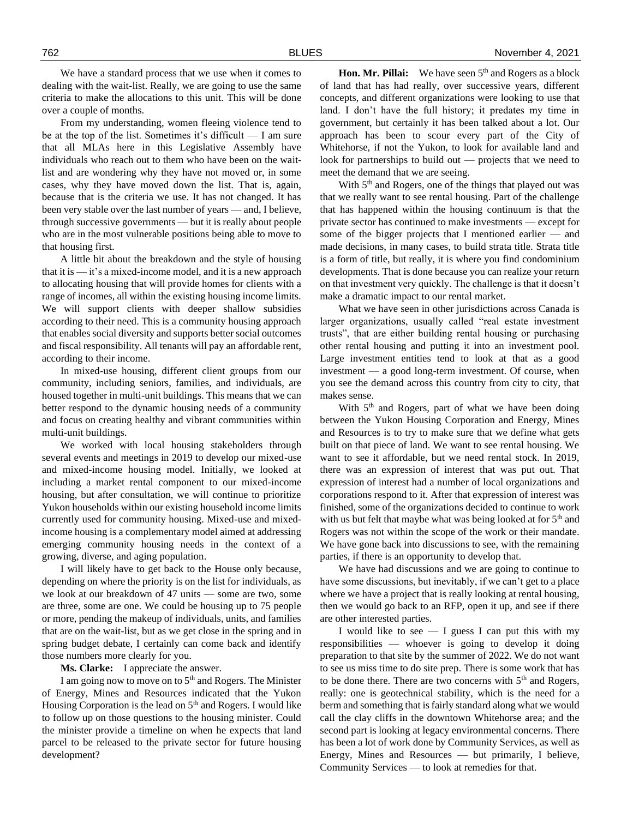We have a standard process that we use when it comes to dealing with the wait-list. Really, we are going to use the same criteria to make the allocations to this unit. This will be done over a couple of months.

From my understanding, women fleeing violence tend to be at the top of the list. Sometimes it's difficult — I am sure that all MLAs here in this Legislative Assembly have individuals who reach out to them who have been on the waitlist and are wondering why they have not moved or, in some cases, why they have moved down the list. That is, again, because that is the criteria we use. It has not changed. It has been very stable over the last number of years — and, I believe, through successive governments — but it is really about people who are in the most vulnerable positions being able to move to that housing first.

A little bit about the breakdown and the style of housing that it is — it's a mixed-income model, and it is a new approach to allocating housing that will provide homes for clients with a range of incomes, all within the existing housing income limits. We will support clients with deeper shallow subsidies according to their need. This is a community housing approach that enables social diversity and supports better social outcomes and fiscal responsibility. All tenants will pay an affordable rent, according to their income.

In mixed-use housing, different client groups from our community, including seniors, families, and individuals, are housed together in multi-unit buildings. This means that we can better respond to the dynamic housing needs of a community and focus on creating healthy and vibrant communities within multi-unit buildings.

We worked with local housing stakeholders through several events and meetings in 2019 to develop our mixed-use and mixed-income housing model. Initially, we looked at including a market rental component to our mixed-income housing, but after consultation, we will continue to prioritize Yukon households within our existing household income limits currently used for community housing. Mixed-use and mixedincome housing is a complementary model aimed at addressing emerging community housing needs in the context of a growing, diverse, and aging population.

I will likely have to get back to the House only because, depending on where the priority is on the list for individuals, as we look at our breakdown of 47 units — some are two, some are three, some are one. We could be housing up to 75 people or more, pending the makeup of individuals, units, and families that are on the wait-list, but as we get close in the spring and in spring budget debate, I certainly can come back and identify those numbers more clearly for you.

**Ms. Clarke:** I appreciate the answer.

I am going now to move on to 5th and Rogers. The Minister of Energy, Mines and Resources indicated that the Yukon Housing Corporation is the lead on  $5<sup>th</sup>$  and Rogers. I would like to follow up on those questions to the housing minister. Could the minister provide a timeline on when he expects that land parcel to be released to the private sector for future housing development?

**Hon. Mr. Pillai:** We have seen 5<sup>th</sup> and Rogers as a block of land that has had really, over successive years, different concepts, and different organizations were looking to use that land. I don't have the full history; it predates my time in government, but certainly it has been talked about a lot. Our approach has been to scour every part of the City of Whitehorse, if not the Yukon, to look for available land and look for partnerships to build out — projects that we need to meet the demand that we are seeing.

With 5<sup>th</sup> and Rogers, one of the things that played out was that we really want to see rental housing. Part of the challenge that has happened within the housing continuum is that the private sector has continued to make investments — except for some of the bigger projects that I mentioned earlier — and made decisions, in many cases, to build strata title. Strata title is a form of title, but really, it is where you find condominium developments. That is done because you can realize your return on that investment very quickly. The challenge is that it doesn't make a dramatic impact to our rental market.

What we have seen in other jurisdictions across Canada is larger organizations, usually called "real estate investment trusts", that are either building rental housing or purchasing other rental housing and putting it into an investment pool. Large investment entities tend to look at that as a good investment — a good long-term investment. Of course, when you see the demand across this country from city to city, that makes sense.

With 5<sup>th</sup> and Rogers, part of what we have been doing between the Yukon Housing Corporation and Energy, Mines and Resources is to try to make sure that we define what gets built on that piece of land. We want to see rental housing. We want to see it affordable, but we need rental stock. In 2019, there was an expression of interest that was put out. That expression of interest had a number of local organizations and corporations respond to it. After that expression of interest was finished, some of the organizations decided to continue to work with us but felt that maybe what was being looked at for  $5<sup>th</sup>$  and Rogers was not within the scope of the work or their mandate. We have gone back into discussions to see, with the remaining parties, if there is an opportunity to develop that.

We have had discussions and we are going to continue to have some discussions, but inevitably, if we can't get to a place where we have a project that is really looking at rental housing, then we would go back to an RFP, open it up, and see if there are other interested parties.

I would like to see  $-$  I guess I can put this with my responsibilities — whoever is going to develop it doing preparation to that site by the summer of 2022. We do not want to see us miss time to do site prep. There is some work that has to be done there. There are two concerns with 5<sup>th</sup> and Rogers, really: one is geotechnical stability, which is the need for a berm and something that is fairly standard along what we would call the clay cliffs in the downtown Whitehorse area; and the second part is looking at legacy environmental concerns. There has been a lot of work done by Community Services, as well as Energy, Mines and Resources — but primarily, I believe, Community Services — to look at remedies for that.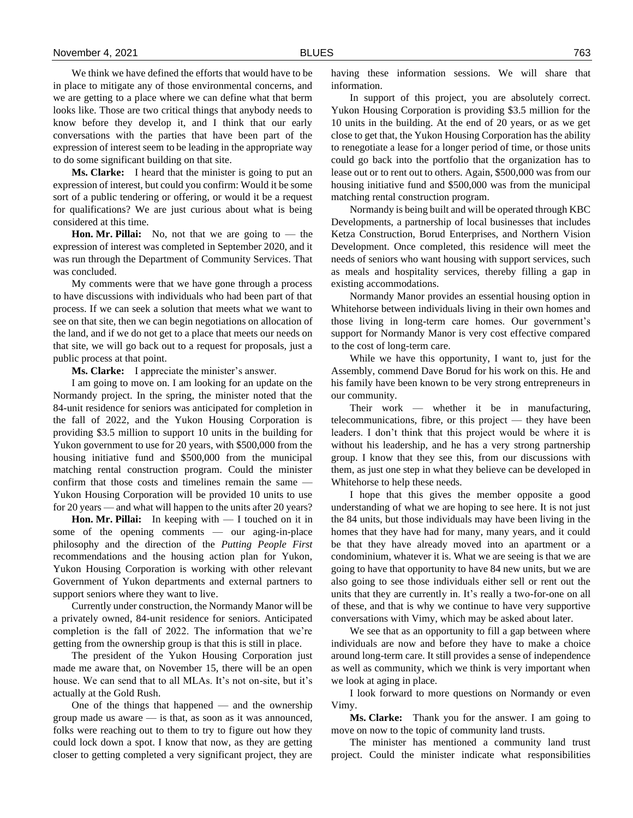We think we have defined the efforts that would have to be in place to mitigate any of those environmental concerns, and we are getting to a place where we can define what that berm looks like. Those are two critical things that anybody needs to know before they develop it, and I think that our early conversations with the parties that have been part of the expression of interest seem to be leading in the appropriate way to do some significant building on that site.

**Ms. Clarke:** I heard that the minister is going to put an expression of interest, but could you confirm: Would it be some sort of a public tendering or offering, or would it be a request for qualifications? We are just curious about what is being considered at this time.

**Hon. Mr. Pillai:** No, not that we are going to — the expression of interest was completed in September 2020, and it was run through the Department of Community Services. That was concluded.

My comments were that we have gone through a process to have discussions with individuals who had been part of that process. If we can seek a solution that meets what we want to see on that site, then we can begin negotiations on allocation of the land, and if we do not get to a place that meets our needs on that site, we will go back out to a request for proposals, just a public process at that point.

**Ms. Clarke:** I appreciate the minister's answer.

I am going to move on. I am looking for an update on the Normandy project. In the spring, the minister noted that the 84-unit residence for seniors was anticipated for completion in the fall of 2022, and the Yukon Housing Corporation is providing \$3.5 million to support 10 units in the building for Yukon government to use for 20 years, with \$500,000 from the housing initiative fund and \$500,000 from the municipal matching rental construction program. Could the minister confirm that those costs and timelines remain the same — Yukon Housing Corporation will be provided 10 units to use for 20 years — and what will happen to the units after 20 years?

**Hon. Mr. Pillai:** In keeping with — I touched on it in some of the opening comments — our aging-in-place philosophy and the direction of the *Putting People First* recommendations and the housing action plan for Yukon, Yukon Housing Corporation is working with other relevant Government of Yukon departments and external partners to support seniors where they want to live.

Currently under construction, the Normandy Manor will be a privately owned, 84-unit residence for seniors. Anticipated completion is the fall of 2022. The information that we're getting from the ownership group is that this is still in place.

The president of the Yukon Housing Corporation just made me aware that, on November 15, there will be an open house. We can send that to all MLAs. It's not on-site, but it's actually at the Gold Rush.

One of the things that happened — and the ownership group made us aware — is that, as soon as it was announced, folks were reaching out to them to try to figure out how they could lock down a spot. I know that now, as they are getting closer to getting completed a very significant project, they are

having these information sessions. We will share that information.

In support of this project, you are absolutely correct. Yukon Housing Corporation is providing \$3.5 million for the 10 units in the building. At the end of 20 years, or as we get close to get that, the Yukon Housing Corporation has the ability to renegotiate a lease for a longer period of time, or those units could go back into the portfolio that the organization has to lease out or to rent out to others. Again, \$500,000 was from our housing initiative fund and \$500,000 was from the municipal matching rental construction program.

Normandy is being built and will be operated through KBC Developments, a partnership of local businesses that includes Ketza Construction, Borud Enterprises, and Northern Vision Development. Once completed, this residence will meet the needs of seniors who want housing with support services, such as meals and hospitality services, thereby filling a gap in existing accommodations.

Normandy Manor provides an essential housing option in Whitehorse between individuals living in their own homes and those living in long-term care homes. Our government's support for Normandy Manor is very cost effective compared to the cost of long-term care.

While we have this opportunity, I want to, just for the Assembly, commend Dave Borud for his work on this. He and his family have been known to be very strong entrepreneurs in our community.

Their work — whether it be in manufacturing, telecommunications, fibre, or this project — they have been leaders. I don't think that this project would be where it is without his leadership, and he has a very strong partnership group. I know that they see this, from our discussions with them, as just one step in what they believe can be developed in Whitehorse to help these needs.

I hope that this gives the member opposite a good understanding of what we are hoping to see here. It is not just the 84 units, but those individuals may have been living in the homes that they have had for many, many years, and it could be that they have already moved into an apartment or a condominium, whatever it is. What we are seeing is that we are going to have that opportunity to have 84 new units, but we are also going to see those individuals either sell or rent out the units that they are currently in. It's really a two-for-one on all of these, and that is why we continue to have very supportive conversations with Vimy, which may be asked about later.

We see that as an opportunity to fill a gap between where individuals are now and before they have to make a choice around long-term care. It still provides a sense of independence as well as community, which we think is very important when we look at aging in place.

I look forward to more questions on Normandy or even Vimy.

**Ms. Clarke:** Thank you for the answer. I am going to move on now to the topic of community land trusts.

The minister has mentioned a community land trust project. Could the minister indicate what responsibilities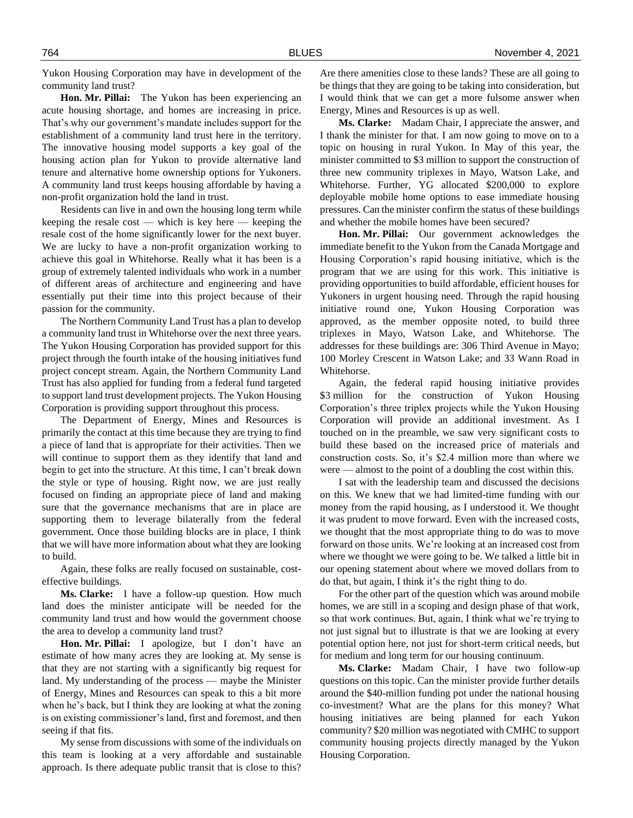Yukon Housing Corporation may have in development of the community land trust?

**Hon. Mr. Pillai:** The Yukon has been experiencing an acute housing shortage, and homes are increasing in price. That's why our government's mandate includes support for the establishment of a community land trust here in the territory. The innovative housing model supports a key goal of the housing action plan for Yukon to provide alternative land tenure and alternative home ownership options for Yukoners. A community land trust keeps housing affordable by having a non-profit organization hold the land in trust.

Residents can live in and own the housing long term while keeping the resale cost — which is key here — keeping the resale cost of the home significantly lower for the next buyer. We are lucky to have a non-profit organization working to achieve this goal in Whitehorse. Really what it has been is a group of extremely talented individuals who work in a number of different areas of architecture and engineering and have essentially put their time into this project because of their passion for the community.

The Northern Community Land Trust has a plan to develop a community land trust in Whitehorse over the next three years. The Yukon Housing Corporation has provided support for this project through the fourth intake of the housing initiatives fund project concept stream. Again, the Northern Community Land Trust has also applied for funding from a federal fund targeted to support land trust development projects. The Yukon Housing Corporation is providing support throughout this process.

The Department of Energy, Mines and Resources is primarily the contact at this time because they are trying to find a piece of land that is appropriate for their activities. Then we will continue to support them as they identify that land and begin to get into the structure. At this time, I can't break down the style or type of housing. Right now, we are just really focused on finding an appropriate piece of land and making sure that the governance mechanisms that are in place are supporting them to leverage bilaterally from the federal government. Once those building blocks are in place, I think that we will have more information about what they are looking to build.

Again, these folks are really focused on sustainable, costeffective buildings.

**Ms. Clarke:** I have a follow-up question. How much land does the minister anticipate will be needed for the community land trust and how would the government choose the area to develop a community land trust?

**Hon. Mr. Pillai:** I apologize, but I don't have an estimate of how many acres they are looking at. My sense is that they are not starting with a significantly big request for land. My understanding of the process — maybe the Minister of Energy, Mines and Resources can speak to this a bit more when he's back, but I think they are looking at what the zoning is on existing commissioner's land, first and foremost, and then seeing if that fits.

My sense from discussions with some of the individuals on this team is looking at a very affordable and sustainable approach. Is there adequate public transit that is close to this?

Are there amenities close to these lands? These are all going to be things that they are going to be taking into consideration, but I would think that we can get a more fulsome answer when Energy, Mines and Resources is up as well.

**Ms. Clarke:** Madam Chair, I appreciate the answer, and I thank the minister for that. I am now going to move on to a topic on housing in rural Yukon. In May of this year, the minister committed to \$3 million to support the construction of three new community triplexes in Mayo, Watson Lake, and Whitehorse. Further, YG allocated \$200,000 to explore deployable mobile home options to ease immediate housing pressures. Can the minister confirm the status of these buildings and whether the mobile homes have been secured?

**Hon. Mr. Pillai:** Our government acknowledges the immediate benefit to the Yukon from the Canada Mortgage and Housing Corporation's rapid housing initiative, which is the program that we are using for this work. This initiative is providing opportunities to build affordable, efficient houses for Yukoners in urgent housing need. Through the rapid housing initiative round one, Yukon Housing Corporation was approved, as the member opposite noted, to build three triplexes in Mayo, Watson Lake, and Whitehorse. The addresses for these buildings are: 306 Third Avenue in Mayo; 100 Morley Crescent in Watson Lake; and 33 Wann Road in Whitehorse.

Again, the federal rapid housing initiative provides \$3 million for the construction of Yukon Housing Corporation's three triplex projects while the Yukon Housing Corporation will provide an additional investment. As I touched on in the preamble, we saw very significant costs to build these based on the increased price of materials and construction costs. So, it's \$2.4 million more than where we were — almost to the point of a doubling the cost within this.

I sat with the leadership team and discussed the decisions on this. We knew that we had limited-time funding with our money from the rapid housing, as I understood it. We thought it was prudent to move forward. Even with the increased costs, we thought that the most appropriate thing to do was to move forward on those units. We're looking at an increased cost from where we thought we were going to be. We talked a little bit in our opening statement about where we moved dollars from to do that, but again, I think it's the right thing to do.

For the other part of the question which was around mobile homes, we are still in a scoping and design phase of that work, so that work continues. But, again, I think what we're trying to not just signal but to illustrate is that we are looking at every potential option here, not just for short-term critical needs, but for medium and long term for our housing continuum.

**Ms. Clarke:** Madam Chair, I have two follow-up questions on this topic. Can the minister provide further details around the \$40-million funding pot under the national housing co-investment? What are the plans for this money? What housing initiatives are being planned for each Yukon community? \$20 million was negotiated with CMHC to support community housing projects directly managed by the Yukon Housing Corporation.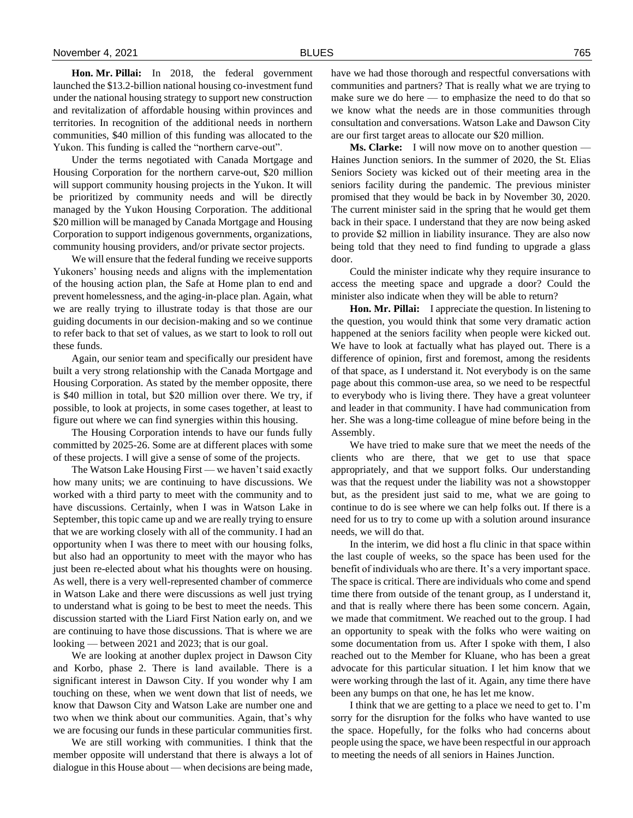**Hon. Mr. Pillai:** In 2018, the federal government launched the \$13.2-billion national housing co-investment fund under the national housing strategy to support new construction and revitalization of affordable housing within provinces and territories. In recognition of the additional needs in northern communities, \$40 million of this funding was allocated to the Yukon. This funding is called the "northern carve-out".

Under the terms negotiated with Canada Mortgage and Housing Corporation for the northern carve-out, \$20 million will support community housing projects in the Yukon. It will be prioritized by community needs and will be directly managed by the Yukon Housing Corporation. The additional \$20 million will be managed by Canada Mortgage and Housing Corporation to support indigenous governments, organizations, community housing providers, and/or private sector projects.

We will ensure that the federal funding we receive supports Yukoners' housing needs and aligns with the implementation of the housing action plan, the Safe at Home plan to end and prevent homelessness, and the aging-in-place plan. Again, what we are really trying to illustrate today is that those are our guiding documents in our decision-making and so we continue to refer back to that set of values, as we start to look to roll out these funds.

Again, our senior team and specifically our president have built a very strong relationship with the Canada Mortgage and Housing Corporation. As stated by the member opposite, there is \$40 million in total, but \$20 million over there. We try, if possible, to look at projects, in some cases together, at least to figure out where we can find synergies within this housing.

The Housing Corporation intends to have our funds fully committed by 2025-26. Some are at different places with some of these projects. I will give a sense of some of the projects.

The Watson Lake Housing First — we haven't said exactly how many units; we are continuing to have discussions. We worked with a third party to meet with the community and to have discussions. Certainly, when I was in Watson Lake in September, this topic came up and we are really trying to ensure that we are working closely with all of the community. I had an opportunity when I was there to meet with our housing folks, but also had an opportunity to meet with the mayor who has just been re-elected about what his thoughts were on housing. As well, there is a very well-represented chamber of commerce in Watson Lake and there were discussions as well just trying to understand what is going to be best to meet the needs. This discussion started with the Liard First Nation early on, and we are continuing to have those discussions. That is where we are looking — between 2021 and 2023; that is our goal.

We are looking at another duplex project in Dawson City and Korbo, phase 2. There is land available. There is a significant interest in Dawson City. If you wonder why I am touching on these, when we went down that list of needs, we know that Dawson City and Watson Lake are number one and two when we think about our communities. Again, that's why we are focusing our funds in these particular communities first.

We are still working with communities. I think that the member opposite will understand that there is always a lot of dialogue in this House about — when decisions are being made,

have we had those thorough and respectful conversations with communities and partners? That is really what we are trying to make sure we do here — to emphasize the need to do that so we know what the needs are in those communities through consultation and conversations. Watson Lake and Dawson City are our first target areas to allocate our \$20 million.

**Ms. Clarke:** I will now move on to another question — Haines Junction seniors. In the summer of 2020, the St. Elias Seniors Society was kicked out of their meeting area in the seniors facility during the pandemic. The previous minister promised that they would be back in by November 30, 2020. The current minister said in the spring that he would get them back in their space. I understand that they are now being asked to provide \$2 million in liability insurance. They are also now being told that they need to find funding to upgrade a glass door.

Could the minister indicate why they require insurance to access the meeting space and upgrade a door? Could the minister also indicate when they will be able to return?

**Hon. Mr. Pillai:** I appreciate the question. In listening to the question, you would think that some very dramatic action happened at the seniors facility when people were kicked out. We have to look at factually what has played out. There is a difference of opinion, first and foremost, among the residents of that space, as I understand it. Not everybody is on the same page about this common-use area, so we need to be respectful to everybody who is living there. They have a great volunteer and leader in that community. I have had communication from her. She was a long-time colleague of mine before being in the Assembly.

We have tried to make sure that we meet the needs of the clients who are there, that we get to use that space appropriately, and that we support folks. Our understanding was that the request under the liability was not a showstopper but, as the president just said to me, what we are going to continue to do is see where we can help folks out. If there is a need for us to try to come up with a solution around insurance needs, we will do that.

In the interim, we did host a flu clinic in that space within the last couple of weeks, so the space has been used for the benefit of individuals who are there. It's a very important space. The space is critical. There are individuals who come and spend time there from outside of the tenant group, as I understand it, and that is really where there has been some concern. Again, we made that commitment. We reached out to the group. I had an opportunity to speak with the folks who were waiting on some documentation from us. After I spoke with them, I also reached out to the Member for Kluane, who has been a great advocate for this particular situation. I let him know that we were working through the last of it. Again, any time there have been any bumps on that one, he has let me know.

I think that we are getting to a place we need to get to. I'm sorry for the disruption for the folks who have wanted to use the space. Hopefully, for the folks who had concerns about people using the space, we have been respectful in our approach to meeting the needs of all seniors in Haines Junction.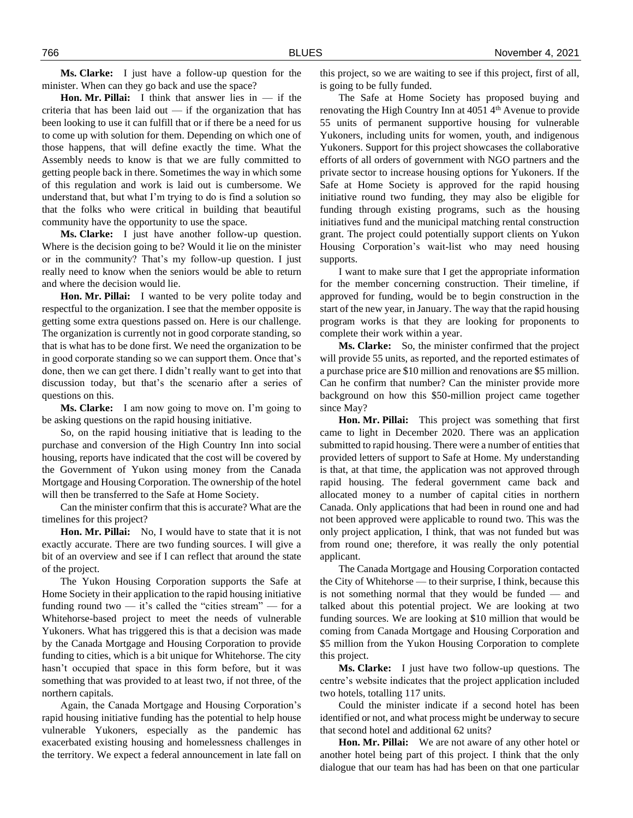**Ms. Clarke:** I just have a follow-up question for the minister. When can they go back and use the space?

**Hon. Mr. Pillai:** I think that answer lies in — if the criteria that has been laid out — if the organization that has been looking to use it can fulfill that or if there be a need for us to come up with solution for them. Depending on which one of those happens, that will define exactly the time. What the Assembly needs to know is that we are fully committed to getting people back in there. Sometimes the way in which some of this regulation and work is laid out is cumbersome. We understand that, but what I'm trying to do is find a solution so that the folks who were critical in building that beautiful community have the opportunity to use the space.

**Ms. Clarke:** I just have another follow-up question. Where is the decision going to be? Would it lie on the minister or in the community? That's my follow-up question. I just really need to know when the seniors would be able to return and where the decision would lie.

**Hon. Mr. Pillai:** I wanted to be very polite today and respectful to the organization. I see that the member opposite is getting some extra questions passed on. Here is our challenge. The organization is currently not in good corporate standing, so that is what has to be done first. We need the organization to be in good corporate standing so we can support them. Once that's done, then we can get there. I didn't really want to get into that discussion today, but that's the scenario after a series of questions on this.

**Ms. Clarke:** I am now going to move on. I'm going to be asking questions on the rapid housing initiative.

So, on the rapid housing initiative that is leading to the purchase and conversion of the High Country Inn into social housing, reports have indicated that the cost will be covered by the Government of Yukon using money from the Canada Mortgage and Housing Corporation. The ownership of the hotel will then be transferred to the Safe at Home Society.

Can the minister confirm that this is accurate? What are the timelines for this project?

**Hon. Mr. Pillai:** No, I would have to state that it is not exactly accurate. There are two funding sources. I will give a bit of an overview and see if I can reflect that around the state of the project.

The Yukon Housing Corporation supports the Safe at Home Society in their application to the rapid housing initiative funding round two  $-$  it's called the "cities stream"  $-$  for a Whitehorse-based project to meet the needs of vulnerable Yukoners. What has triggered this is that a decision was made by the Canada Mortgage and Housing Corporation to provide funding to cities, which is a bit unique for Whitehorse. The city hasn't occupied that space in this form before, but it was something that was provided to at least two, if not three, of the northern capitals.

Again, the Canada Mortgage and Housing Corporation's rapid housing initiative funding has the potential to help house vulnerable Yukoners, especially as the pandemic has exacerbated existing housing and homelessness challenges in the territory. We expect a federal announcement in late fall on

this project, so we are waiting to see if this project, first of all, is going to be fully funded.

The Safe at Home Society has proposed buying and renovating the High Country Inn at 4051 4<sup>th</sup> Avenue to provide 55 units of permanent supportive housing for vulnerable Yukoners, including units for women, youth, and indigenous Yukoners. Support for this project showcases the collaborative efforts of all orders of government with NGO partners and the private sector to increase housing options for Yukoners. If the Safe at Home Society is approved for the rapid housing initiative round two funding, they may also be eligible for funding through existing programs, such as the housing initiatives fund and the municipal matching rental construction grant. The project could potentially support clients on Yukon Housing Corporation's wait-list who may need housing supports.

I want to make sure that I get the appropriate information for the member concerning construction. Their timeline, if approved for funding, would be to begin construction in the start of the new year, in January. The way that the rapid housing program works is that they are looking for proponents to complete their work within a year.

**Ms. Clarke:** So, the minister confirmed that the project will provide 55 units, as reported, and the reported estimates of a purchase price are \$10 million and renovations are \$5 million. Can he confirm that number? Can the minister provide more background on how this \$50-million project came together since May?

**Hon. Mr. Pillai:** This project was something that first came to light in December 2020. There was an application submitted to rapid housing. There were a number of entities that provided letters of support to Safe at Home. My understanding is that, at that time, the application was not approved through rapid housing. The federal government came back and allocated money to a number of capital cities in northern Canada. Only applications that had been in round one and had not been approved were applicable to round two. This was the only project application, I think, that was not funded but was from round one; therefore, it was really the only potential applicant.

The Canada Mortgage and Housing Corporation contacted the City of Whitehorse — to their surprise, I think, because this is not something normal that they would be funded — and talked about this potential project. We are looking at two funding sources. We are looking at \$10 million that would be coming from Canada Mortgage and Housing Corporation and \$5 million from the Yukon Housing Corporation to complete this project.

**Ms. Clarke:** I just have two follow-up questions. The centre's website indicates that the project application included two hotels, totalling 117 units.

Could the minister indicate if a second hotel has been identified or not, and what process might be underway to secure that second hotel and additional 62 units?

**Hon. Mr. Pillai:** We are not aware of any other hotel or another hotel being part of this project. I think that the only dialogue that our team has had has been on that one particular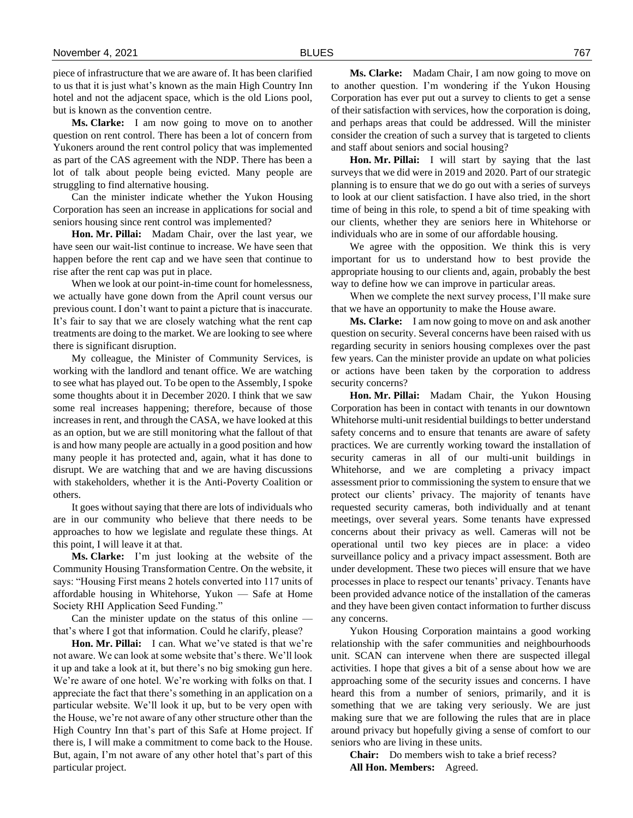piece of infrastructure that we are aware of. It has been clarified to us that it is just what's known as the main High Country Inn hotel and not the adjacent space, which is the old Lions pool, but is known as the convention centre.

**Ms. Clarke:** I am now going to move on to another question on rent control. There has been a lot of concern from Yukoners around the rent control policy that was implemented as part of the CAS agreement with the NDP. There has been a lot of talk about people being evicted. Many people are struggling to find alternative housing.

Can the minister indicate whether the Yukon Housing Corporation has seen an increase in applications for social and seniors housing since rent control was implemented?

**Hon. Mr. Pillai:** Madam Chair, over the last year, we have seen our wait-list continue to increase. We have seen that happen before the rent cap and we have seen that continue to rise after the rent cap was put in place.

When we look at our point-in-time count for homelessness, we actually have gone down from the April count versus our previous count. I don't want to paint a picture that is inaccurate. It's fair to say that we are closely watching what the rent cap treatments are doing to the market. We are looking to see where there is significant disruption.

My colleague, the Minister of Community Services, is working with the landlord and tenant office. We are watching to see what has played out. To be open to the Assembly, I spoke some thoughts about it in December 2020. I think that we saw some real increases happening; therefore, because of those increases in rent, and through the CASA, we have looked at this as an option, but we are still monitoring what the fallout of that is and how many people are actually in a good position and how many people it has protected and, again, what it has done to disrupt. We are watching that and we are having discussions with stakeholders, whether it is the Anti-Poverty Coalition or others.

It goes without saying that there are lots of individuals who are in our community who believe that there needs to be approaches to how we legislate and regulate these things. At this point, I will leave it at that.

**Ms. Clarke:** I'm just looking at the website of the Community Housing Transformation Centre. On the website, it says: "Housing First means 2 hotels converted into 117 units of affordable housing in Whitehorse, Yukon — Safe at Home Society RHI Application Seed Funding."

Can the minister update on the status of this online that's where I got that information. Could he clarify, please?

**Hon. Mr. Pillai:** I can. What we've stated is that we're not aware. We can look at some website that's there. We'll look it up and take a look at it, but there's no big smoking gun here. We're aware of one hotel. We're working with folks on that. I appreciate the fact that there's something in an application on a particular website. We'll look it up, but to be very open with the House, we're not aware of any other structure other than the High Country Inn that's part of this Safe at Home project. If there is, I will make a commitment to come back to the House. But, again, I'm not aware of any other hotel that's part of this particular project.

**Ms. Clarke:** Madam Chair, I am now going to move on to another question. I'm wondering if the Yukon Housing Corporation has ever put out a survey to clients to get a sense of their satisfaction with services, how the corporation is doing, and perhaps areas that could be addressed. Will the minister consider the creation of such a survey that is targeted to clients and staff about seniors and social housing?

**Hon. Mr. Pillai:** I will start by saying that the last surveys that we did were in 2019 and 2020. Part of our strategic planning is to ensure that we do go out with a series of surveys to look at our client satisfaction. I have also tried, in the short time of being in this role, to spend a bit of time speaking with our clients, whether they are seniors here in Whitehorse or individuals who are in some of our affordable housing.

We agree with the opposition. We think this is very important for us to understand how to best provide the appropriate housing to our clients and, again, probably the best way to define how we can improve in particular areas.

When we complete the next survey process, I'll make sure that we have an opportunity to make the House aware.

**Ms. Clarke:** I am now going to move on and ask another question on security. Several concerns have been raised with us regarding security in seniors housing complexes over the past few years. Can the minister provide an update on what policies or actions have been taken by the corporation to address security concerns?

**Hon. Mr. Pillai:** Madam Chair, the Yukon Housing Corporation has been in contact with tenants in our downtown Whitehorse multi-unit residential buildings to better understand safety concerns and to ensure that tenants are aware of safety practices. We are currently working toward the installation of security cameras in all of our multi-unit buildings in Whitehorse, and we are completing a privacy impact assessment prior to commissioning the system to ensure that we protect our clients' privacy. The majority of tenants have requested security cameras, both individually and at tenant meetings, over several years. Some tenants have expressed concerns about their privacy as well. Cameras will not be operational until two key pieces are in place: a video surveillance policy and a privacy impact assessment. Both are under development. These two pieces will ensure that we have processes in place to respect our tenants' privacy. Tenants have been provided advance notice of the installation of the cameras and they have been given contact information to further discuss any concerns.

Yukon Housing Corporation maintains a good working relationship with the safer communities and neighbourhoods unit. SCAN can intervene when there are suspected illegal activities. I hope that gives a bit of a sense about how we are approaching some of the security issues and concerns. I have heard this from a number of seniors, primarily, and it is something that we are taking very seriously. We are just making sure that we are following the rules that are in place around privacy but hopefully giving a sense of comfort to our seniors who are living in these units.

**Chair:** Do members wish to take a brief recess? **All Hon. Members:** Agreed.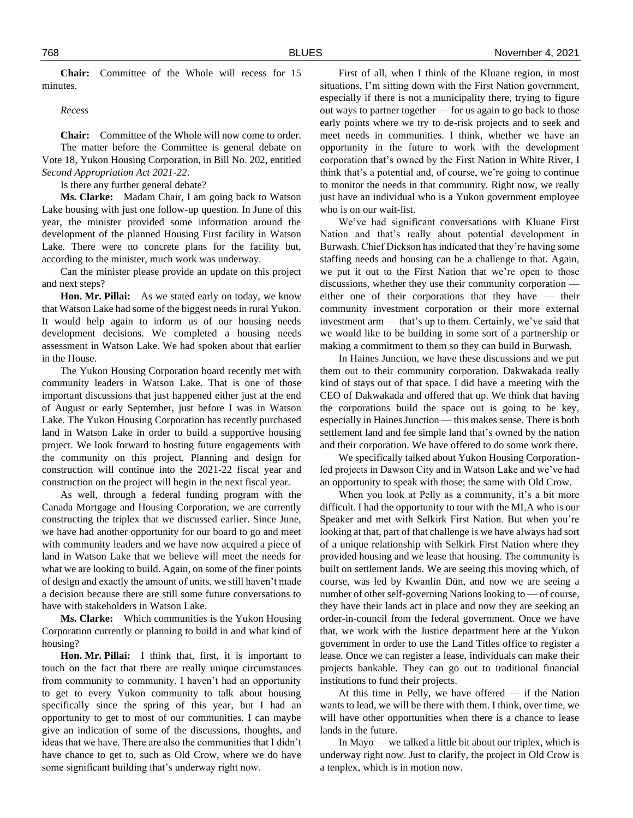**Chair:** Committee of the Whole will recess for 15 minutes.

*Recess*

**Chair:** Committee of the Whole will now come to order. The matter before the Committee is general debate on Vote 18, Yukon Housing Corporation, in Bill No. 202, entitled *Second Appropriation Act 2021-22*.

Is there any further general debate?

**Ms. Clarke:** Madam Chair, I am going back to Watson Lake housing with just one follow-up question. In June of this year, the minister provided some information around the development of the planned Housing First facility in Watson Lake. There were no concrete plans for the facility but, according to the minister, much work was underway.

Can the minister please provide an update on this project and next steps?

**Hon. Mr. Pillai:** As we stated early on today, we know that Watson Lake had some of the biggest needs in rural Yukon. It would help again to inform us of our housing needs development decisions. We completed a housing needs assessment in Watson Lake. We had spoken about that earlier in the House.

The Yukon Housing Corporation board recently met with community leaders in Watson Lake. That is one of those important discussions that just happened either just at the end of August or early September, just before I was in Watson Lake. The Yukon Housing Corporation has recently purchased land in Watson Lake in order to build a supportive housing project. We look forward to hosting future engagements with the community on this project. Planning and design for construction will continue into the 2021-22 fiscal year and construction on the project will begin in the next fiscal year.

As well, through a federal funding program with the Canada Mortgage and Housing Corporation, we are currently constructing the triplex that we discussed earlier. Since June, we have had another opportunity for our board to go and meet with community leaders and we have now acquired a piece of land in Watson Lake that we believe will meet the needs for what we are looking to build. Again, on some of the finer points of design and exactly the amount of units, we still haven't made a decision because there are still some future conversations to have with stakeholders in Watson Lake.

**Ms. Clarke:** Which communities is the Yukon Housing Corporation currently or planning to build in and what kind of housing?

**Hon. Mr. Pillai:** I think that, first, it is important to touch on the fact that there are really unique circumstances from community to community. I haven't had an opportunity to get to every Yukon community to talk about housing specifically since the spring of this year, but I had an opportunity to get to most of our communities. I can maybe give an indication of some of the discussions, thoughts, and ideas that we have. There are also the communities that I didn't have chance to get to, such as Old Crow, where we do have some significant building that's underway right now.

First of all, when I think of the Kluane region, in most situations, I'm sitting down with the First Nation government, especially if there is not a municipality there, trying to figure out ways to partner together — for us again to go back to those early points where we try to de-risk projects and to seek and meet needs in communities. I think, whether we have an opportunity in the future to work with the development corporation that's owned by the First Nation in White River, I think that's a potential and, of course, we're going to continue to monitor the needs in that community. Right now, we really just have an individual who is a Yukon government employee who is on our wait-list.

We've had significant conversations with Kluane First Nation and that's really about potential development in Burwash. Chief Dickson has indicated that they're having some staffing needs and housing can be a challenge to that. Again, we put it out to the First Nation that we're open to those discussions, whether they use their community corporation either one of their corporations that they have — their community investment corporation or their more external investment arm — that's up to them. Certainly, we've said that we would like to be building in some sort of a partnership or making a commitment to them so they can build in Burwash.

In Haines Junction, we have these discussions and we put them out to their community corporation. Dakwakada really kind of stays out of that space. I did have a meeting with the CEO of Dakwakada and offered that up. We think that having the corporations build the space out is going to be key, especially in Haines Junction — this makes sense. There is both settlement land and fee simple land that's owned by the nation and their corporation. We have offered to do some work there.

We specifically talked about Yukon Housing Corporationled projects in Dawson City and in Watson Lake and we've had an opportunity to speak with those; the same with Old Crow.

When you look at Pelly as a community, it's a bit more difficult. I had the opportunity to tour with the MLA who is our Speaker and met with Selkirk First Nation. But when you're looking at that, part of that challenge is we have always had sort of a unique relationship with Selkirk First Nation where they provided housing and we lease that housing. The community is built on settlement lands. We are seeing this moving which, of course, was led by Kwanlin Dün, and now we are seeing a number of other self-governing Nations looking to — of course, they have their lands act in place and now they are seeking an order-in-council from the federal government. Once we have that, we work with the Justice department here at the Yukon government in order to use the Land Titles office to register a lease. Once we can register a lease, individuals can make their projects bankable. They can go out to traditional financial institutions to fund their projects.

At this time in Pelly, we have offered — if the Nation wants to lead, we will be there with them. I think, over time, we will have other opportunities when there is a chance to lease lands in the future.

In Mayo — we talked a little bit about our triplex, which is underway right now. Just to clarify, the project in Old Crow is a tenplex, which is in motion now.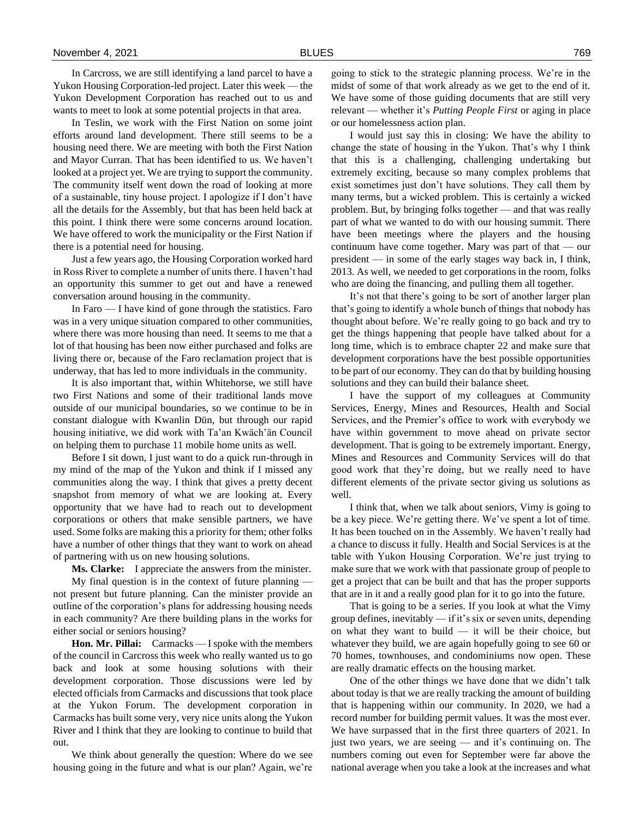In Carcross, we are still identifying a land parcel to have a Yukon Housing Corporation-led project. Later this week — the Yukon Development Corporation has reached out to us and wants to meet to look at some potential projects in that area.

In Teslin, we work with the First Nation on some joint efforts around land development. There still seems to be a housing need there. We are meeting with both the First Nation and Mayor Curran. That has been identified to us. We haven't looked at a project yet. We are trying to support the community. The community itself went down the road of looking at more of a sustainable, tiny house project. I apologize if I don't have all the details for the Assembly, but that has been held back at this point. I think there were some concerns around location. We have offered to work the municipality or the First Nation if there is a potential need for housing.

Just a few years ago, the Housing Corporation worked hard in Ross River to complete a number of units there. I haven't had an opportunity this summer to get out and have a renewed conversation around housing in the community.

In Faro — I have kind of gone through the statistics. Faro was in a very unique situation compared to other communities, where there was more housing than need. It seems to me that a lot of that housing has been now either purchased and folks are living there or, because of the Faro reclamation project that is underway, that has led to more individuals in the community.

It is also important that, within Whitehorse, we still have two First Nations and some of their traditional lands move outside of our municipal boundaries, so we continue to be in constant dialogue with Kwanlin Dün, but through our rapid housing initiative, we did work with Ta'an Kwäch'än Council on helping them to purchase 11 mobile home units as well.

Before I sit down, I just want to do a quick run-through in my mind of the map of the Yukon and think if I missed any communities along the way. I think that gives a pretty decent snapshot from memory of what we are looking at. Every opportunity that we have had to reach out to development corporations or others that make sensible partners, we have used. Some folks are making this a priority for them; other folks have a number of other things that they want to work on ahead of partnering with us on new housing solutions.

**Ms. Clarke:** I appreciate the answers from the minister.

My final question is in the context of future planning not present but future planning. Can the minister provide an outline of the corporation's plans for addressing housing needs in each community? Are there building plans in the works for either social or seniors housing?

**Hon. Mr. Pillai:** Carmacks — I spoke with the members of the council in Carcross this week who really wanted us to go back and look at some housing solutions with their development corporation. Those discussions were led by elected officials from Carmacks and discussions that took place at the Yukon Forum. The development corporation in Carmacks has built some very, very nice units along the Yukon River and I think that they are looking to continue to build that out.

We think about generally the question: Where do we see housing going in the future and what is our plan? Again, we're

going to stick to the strategic planning process. We're in the midst of some of that work already as we get to the end of it. We have some of those guiding documents that are still very relevant — whether it's *Putting People First* or aging in place or our homelessness action plan.

I would just say this in closing: We have the ability to change the state of housing in the Yukon. That's why I think that this is a challenging, challenging undertaking but extremely exciting, because so many complex problems that exist sometimes just don't have solutions. They call them by many terms, but a wicked problem. This is certainly a wicked problem. But, by bringing folks together — and that was really part of what we wanted to do with our housing summit. There have been meetings where the players and the housing continuum have come together. Mary was part of that — our president — in some of the early stages way back in, I think, 2013. As well, we needed to get corporations in the room, folks who are doing the financing, and pulling them all together.

It's not that there's going to be sort of another larger plan that's going to identify a whole bunch of things that nobody has thought about before. We're really going to go back and try to get the things happening that people have talked about for a long time, which is to embrace chapter 22 and make sure that development corporations have the best possible opportunities to be part of our economy. They can do that by building housing solutions and they can build their balance sheet.

I have the support of my colleagues at Community Services, Energy, Mines and Resources, Health and Social Services, and the Premier's office to work with everybody we have within government to move ahead on private sector development. That is going to be extremely important. Energy, Mines and Resources and Community Services will do that good work that they're doing, but we really need to have different elements of the private sector giving us solutions as well.

I think that, when we talk about seniors, Vimy is going to be a key piece. We're getting there. We've spent a lot of time. It has been touched on in the Assembly. We haven't really had a chance to discuss it fully. Health and Social Services is at the table with Yukon Housing Corporation. We're just trying to make sure that we work with that passionate group of people to get a project that can be built and that has the proper supports that are in it and a really good plan for it to go into the future.

That is going to be a series. If you look at what the Vimy group defines, inevitably — if it's six or seven units, depending on what they want to build  $-$  it will be their choice, but whatever they build, we are again hopefully going to see 60 or 70 homes, townhouses, and condominiums now open. These are really dramatic effects on the housing market.

One of the other things we have done that we didn't talk about today is that we are really tracking the amount of building that is happening within our community. In 2020, we had a record number for building permit values. It was the most ever. We have surpassed that in the first three quarters of 2021. In just two years, we are seeing — and it's continuing on. The numbers coming out even for September were far above the national average when you take a look at the increases and what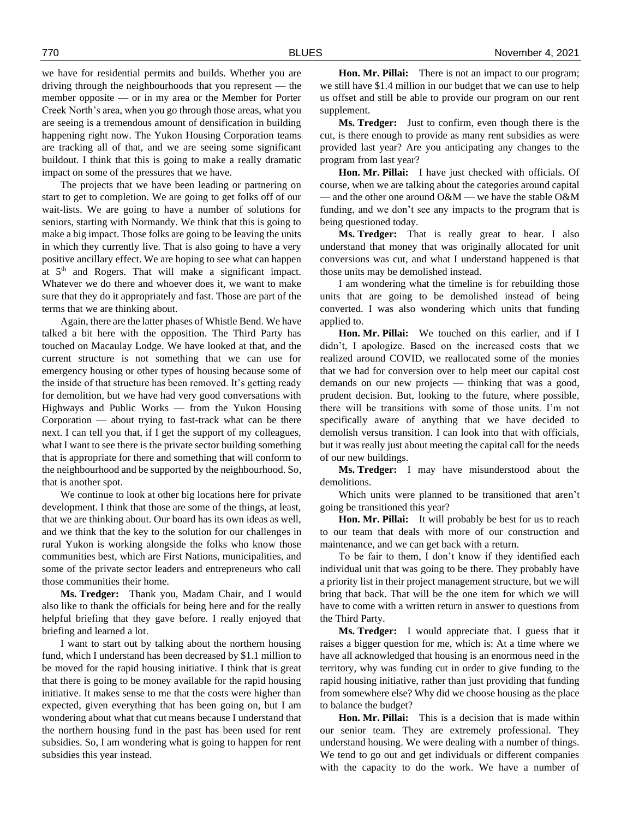we have for residential permits and builds. Whether you are driving through the neighbourhoods that you represent — the member opposite — or in my area or the Member for Porter Creek North's area, when you go through those areas, what you are seeing is a tremendous amount of densification in building happening right now. The Yukon Housing Corporation teams are tracking all of that, and we are seeing some significant buildout. I think that this is going to make a really dramatic impact on some of the pressures that we have.

The projects that we have been leading or partnering on start to get to completion. We are going to get folks off of our wait-lists. We are going to have a number of solutions for seniors, starting with Normandy. We think that this is going to make a big impact. Those folks are going to be leaving the units in which they currently live. That is also going to have a very positive ancillary effect. We are hoping to see what can happen at  $5<sup>th</sup>$  and Rogers. That will make a significant impact. Whatever we do there and whoever does it, we want to make sure that they do it appropriately and fast. Those are part of the terms that we are thinking about.

Again, there are the latter phases of Whistle Bend. We have talked a bit here with the opposition. The Third Party has touched on Macaulay Lodge. We have looked at that, and the current structure is not something that we can use for emergency housing or other types of housing because some of the inside of that structure has been removed. It's getting ready for demolition, but we have had very good conversations with Highways and Public Works — from the Yukon Housing Corporation — about trying to fast-track what can be there next. I can tell you that, if I get the support of my colleagues, what I want to see there is the private sector building something that is appropriate for there and something that will conform to the neighbourhood and be supported by the neighbourhood. So, that is another spot.

We continue to look at other big locations here for private development. I think that those are some of the things, at least, that we are thinking about. Our board has its own ideas as well, and we think that the key to the solution for our challenges in rural Yukon is working alongside the folks who know those communities best, which are First Nations, municipalities, and some of the private sector leaders and entrepreneurs who call those communities their home.

**Ms. Tredger:** Thank you, Madam Chair, and I would also like to thank the officials for being here and for the really helpful briefing that they gave before. I really enjoyed that briefing and learned a lot.

I want to start out by talking about the northern housing fund, which I understand has been decreased by \$1.1 million to be moved for the rapid housing initiative. I think that is great that there is going to be money available for the rapid housing initiative. It makes sense to me that the costs were higher than expected, given everything that has been going on, but I am wondering about what that cut means because I understand that the northern housing fund in the past has been used for rent subsidies. So, I am wondering what is going to happen for rent subsidies this year instead.

**Hon. Mr. Pillai:** There is not an impact to our program; we still have \$1.4 million in our budget that we can use to help us offset and still be able to provide our program on our rent supplement.

**Ms. Tredger:** Just to confirm, even though there is the cut, is there enough to provide as many rent subsidies as were provided last year? Are you anticipating any changes to the program from last year?

**Hon. Mr. Pillai:** I have just checked with officials. Of course, when we are talking about the categories around capital — and the other one around O&M — we have the stable O&M funding, and we don't see any impacts to the program that is being questioned today.

**Ms. Tredger:** That is really great to hear. I also understand that money that was originally allocated for unit conversions was cut, and what I understand happened is that those units may be demolished instead.

I am wondering what the timeline is for rebuilding those units that are going to be demolished instead of being converted. I was also wondering which units that funding applied to.

**Hon. Mr. Pillai:** We touched on this earlier, and if I didn't, I apologize. Based on the increased costs that we realized around COVID, we reallocated some of the monies that we had for conversion over to help meet our capital cost demands on our new projects — thinking that was a good, prudent decision. But, looking to the future, where possible, there will be transitions with some of those units. I'm not specifically aware of anything that we have decided to demolish versus transition. I can look into that with officials, but it was really just about meeting the capital call for the needs of our new buildings.

**Ms. Tredger:** I may have misunderstood about the demolitions.

Which units were planned to be transitioned that aren't going be transitioned this year?

**Hon. Mr. Pillai:** It will probably be best for us to reach to our team that deals with more of our construction and maintenance, and we can get back with a return.

To be fair to them, I don't know if they identified each individual unit that was going to be there. They probably have a priority list in their project management structure, but we will bring that back. That will be the one item for which we will have to come with a written return in answer to questions from the Third Party.

**Ms. Tredger:** I would appreciate that. I guess that it raises a bigger question for me, which is: At a time where we have all acknowledged that housing is an enormous need in the territory, why was funding cut in order to give funding to the rapid housing initiative, rather than just providing that funding from somewhere else? Why did we choose housing as the place to balance the budget?

**Hon. Mr. Pillai:** This is a decision that is made within our senior team. They are extremely professional. They understand housing. We were dealing with a number of things. We tend to go out and get individuals or different companies with the capacity to do the work. We have a number of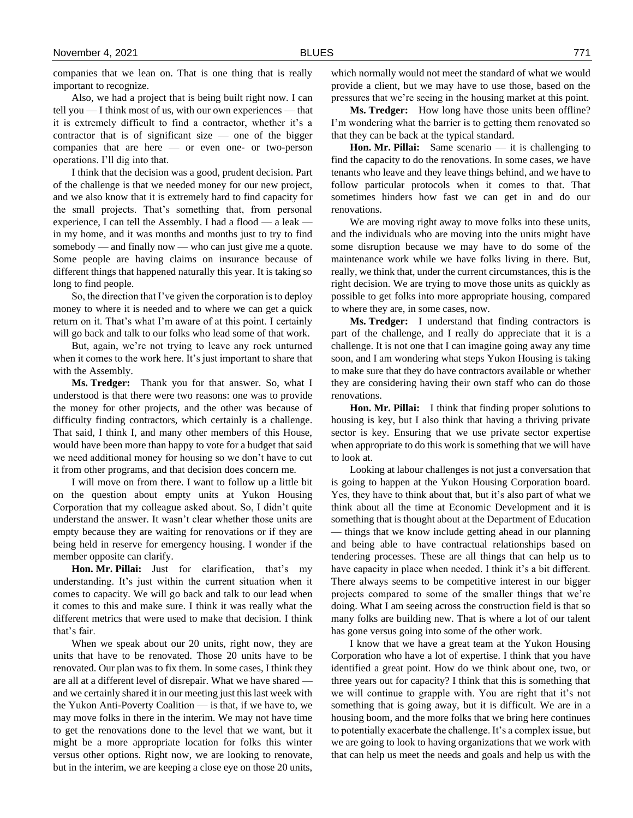companies that we lean on. That is one thing that is really important to recognize.

Also, we had a project that is being built right now. I can tell you — I think most of us, with our own experiences — that it is extremely difficult to find a contractor, whether it's a contractor that is of significant size  $-$  one of the bigger companies that are here — or even one- or two-person operations. I'll dig into that.

I think that the decision was a good, prudent decision. Part of the challenge is that we needed money for our new project, and we also know that it is extremely hard to find capacity for the small projects. That's something that, from personal experience, I can tell the Assembly. I had a flood  $-$  a leak  $$ in my home, and it was months and months just to try to find somebody — and finally now — who can just give me a quote. Some people are having claims on insurance because of different things that happened naturally this year. It is taking so long to find people.

So, the direction that I've given the corporation is to deploy money to where it is needed and to where we can get a quick return on it. That's what I'm aware of at this point. I certainly will go back and talk to our folks who lead some of that work.

But, again, we're not trying to leave any rock unturned when it comes to the work here. It's just important to share that with the Assembly.

**Ms. Tredger:** Thank you for that answer. So, what I understood is that there were two reasons: one was to provide the money for other projects, and the other was because of difficulty finding contractors, which certainly is a challenge. That said, I think I, and many other members of this House, would have been more than happy to vote for a budget that said we need additional money for housing so we don't have to cut it from other programs, and that decision does concern me.

I will move on from there. I want to follow up a little bit on the question about empty units at Yukon Housing Corporation that my colleague asked about. So, I didn't quite understand the answer. It wasn't clear whether those units are empty because they are waiting for renovations or if they are being held in reserve for emergency housing. I wonder if the member opposite can clarify.

**Hon. Mr. Pillai:** Just for clarification, that's my understanding. It's just within the current situation when it comes to capacity. We will go back and talk to our lead when it comes to this and make sure. I think it was really what the different metrics that were used to make that decision. I think that's fair.

When we speak about our 20 units, right now, they are units that have to be renovated. Those 20 units have to be renovated. Our plan was to fix them. In some cases, I think they are all at a different level of disrepair. What we have shared and we certainly shared it in our meeting just this last week with the Yukon Anti-Poverty Coalition — is that, if we have to, we may move folks in there in the interim. We may not have time to get the renovations done to the level that we want, but it might be a more appropriate location for folks this winter versus other options. Right now, we are looking to renovate, but in the interim, we are keeping a close eye on those 20 units,

which normally would not meet the standard of what we would provide a client, but we may have to use those, based on the pressures that we're seeing in the housing market at this point.

**Ms. Tredger:** How long have those units been offline? I'm wondering what the barrier is to getting them renovated so that they can be back at the typical standard.

**Hon. Mr. Pillai:** Same scenario — it is challenging to find the capacity to do the renovations. In some cases, we have tenants who leave and they leave things behind, and we have to follow particular protocols when it comes to that. That sometimes hinders how fast we can get in and do our renovations.

We are moving right away to move folks into these units, and the individuals who are moving into the units might have some disruption because we may have to do some of the maintenance work while we have folks living in there. But, really, we think that, under the current circumstances, this is the right decision. We are trying to move those units as quickly as possible to get folks into more appropriate housing, compared to where they are, in some cases, now.

**Ms. Tredger:** I understand that finding contractors is part of the challenge, and I really do appreciate that it is a challenge. It is not one that I can imagine going away any time soon, and I am wondering what steps Yukon Housing is taking to make sure that they do have contractors available or whether they are considering having their own staff who can do those renovations.

**Hon. Mr. Pillai:** I think that finding proper solutions to housing is key, but I also think that having a thriving private sector is key. Ensuring that we use private sector expertise when appropriate to do this work is something that we will have to look at.

Looking at labour challenges is not just a conversation that is going to happen at the Yukon Housing Corporation board. Yes, they have to think about that, but it's also part of what we think about all the time at Economic Development and it is something that is thought about at the Department of Education — things that we know include getting ahead in our planning and being able to have contractual relationships based on tendering processes. These are all things that can help us to have capacity in place when needed. I think it's a bit different. There always seems to be competitive interest in our bigger projects compared to some of the smaller things that we're doing. What I am seeing across the construction field is that so many folks are building new. That is where a lot of our talent has gone versus going into some of the other work.

I know that we have a great team at the Yukon Housing Corporation who have a lot of expertise. I think that you have identified a great point. How do we think about one, two, or three years out for capacity? I think that this is something that we will continue to grapple with. You are right that it's not something that is going away, but it is difficult. We are in a housing boom, and the more folks that we bring here continues to potentially exacerbate the challenge. It's a complex issue, but we are going to look to having organizations that we work with that can help us meet the needs and goals and help us with the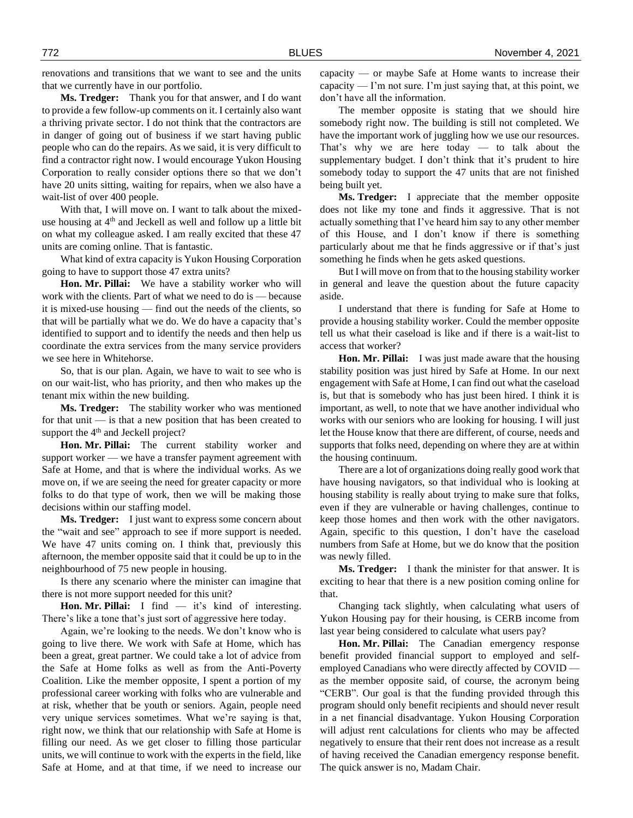renovations and transitions that we want to see and the units that we currently have in our portfolio.

**Ms. Tredger:** Thank you for that answer, and I do want to provide a few follow-up comments on it. I certainly also want a thriving private sector. I do not think that the contractors are in danger of going out of business if we start having public people who can do the repairs. As we said, it is very difficult to find a contractor right now. I would encourage Yukon Housing Corporation to really consider options there so that we don't have 20 units sitting, waiting for repairs, when we also have a wait-list of over 400 people.

With that, I will move on. I want to talk about the mixeduse housing at 4<sup>th</sup> and Jeckell as well and follow up a little bit on what my colleague asked. I am really excited that these 47 units are coming online. That is fantastic.

What kind of extra capacity is Yukon Housing Corporation going to have to support those 47 extra units?

**Hon. Mr. Pillai:** We have a stability worker who will work with the clients. Part of what we need to do is — because it is mixed-use housing — find out the needs of the clients, so that will be partially what we do. We do have a capacity that's identified to support and to identify the needs and then help us coordinate the extra services from the many service providers we see here in Whitehorse.

So, that is our plan. Again, we have to wait to see who is on our wait-list, who has priority, and then who makes up the tenant mix within the new building.

**Ms. Tredger:** The stability worker who was mentioned for that unit — is that a new position that has been created to support the  $4<sup>th</sup>$  and Jeckell project?

**Hon. Mr. Pillai:** The current stability worker and support worker — we have a transfer payment agreement with Safe at Home, and that is where the individual works. As we move on, if we are seeing the need for greater capacity or more folks to do that type of work, then we will be making those decisions within our staffing model.

**Ms. Tredger:** I just want to express some concern about the "wait and see" approach to see if more support is needed. We have 47 units coming on. I think that, previously this afternoon, the member opposite said that it could be up to in the neighbourhood of 75 new people in housing.

Is there any scenario where the minister can imagine that there is not more support needed for this unit?

**Hon. Mr. Pillai:** I find — it's kind of interesting. There's like a tone that's just sort of aggressive here today.

Again, we're looking to the needs. We don't know who is going to live there. We work with Safe at Home, which has been a great, great partner. We could take a lot of advice from the Safe at Home folks as well as from the Anti-Poverty Coalition. Like the member opposite, I spent a portion of my professional career working with folks who are vulnerable and at risk, whether that be youth or seniors. Again, people need very unique services sometimes. What we're saying is that, right now, we think that our relationship with Safe at Home is filling our need. As we get closer to filling those particular units, we will continue to work with the experts in the field, like Safe at Home, and at that time, if we need to increase our capacity — or maybe Safe at Home wants to increase their capacity — I'm not sure. I'm just saying that, at this point, we don't have all the information.

The member opposite is stating that we should hire somebody right now. The building is still not completed. We have the important work of juggling how we use our resources. That's why we are here today — to talk about the supplementary budget. I don't think that it's prudent to hire somebody today to support the 47 units that are not finished being built yet.

**Ms. Tredger:** I appreciate that the member opposite does not like my tone and finds it aggressive. That is not actually something that I've heard him say to any other member of this House, and I don't know if there is something particularly about me that he finds aggressive or if that's just something he finds when he gets asked questions.

But I will move on from that to the housing stability worker in general and leave the question about the future capacity aside.

I understand that there is funding for Safe at Home to provide a housing stability worker. Could the member opposite tell us what their caseload is like and if there is a wait-list to access that worker?

**Hon. Mr. Pillai:** I was just made aware that the housing stability position was just hired by Safe at Home. In our next engagement with Safe at Home, I can find out what the caseload is, but that is somebody who has just been hired. I think it is important, as well, to note that we have another individual who works with our seniors who are looking for housing. I will just let the House know that there are different, of course, needs and supports that folks need, depending on where they are at within the housing continuum.

There are a lot of organizations doing really good work that have housing navigators, so that individual who is looking at housing stability is really about trying to make sure that folks, even if they are vulnerable or having challenges, continue to keep those homes and then work with the other navigators. Again, specific to this question, I don't have the caseload numbers from Safe at Home, but we do know that the position was newly filled.

**Ms. Tredger:** I thank the minister for that answer. It is exciting to hear that there is a new position coming online for that.

Changing tack slightly, when calculating what users of Yukon Housing pay for their housing, is CERB income from last year being considered to calculate what users pay?

**Hon. Mr. Pillai:** The Canadian emergency response benefit provided financial support to employed and selfemployed Canadians who were directly affected by COVID as the member opposite said, of course, the acronym being "CERB". Our goal is that the funding provided through this program should only benefit recipients and should never result in a net financial disadvantage. Yukon Housing Corporation will adjust rent calculations for clients who may be affected negatively to ensure that their rent does not increase as a result of having received the Canadian emergency response benefit. The quick answer is no, Madam Chair.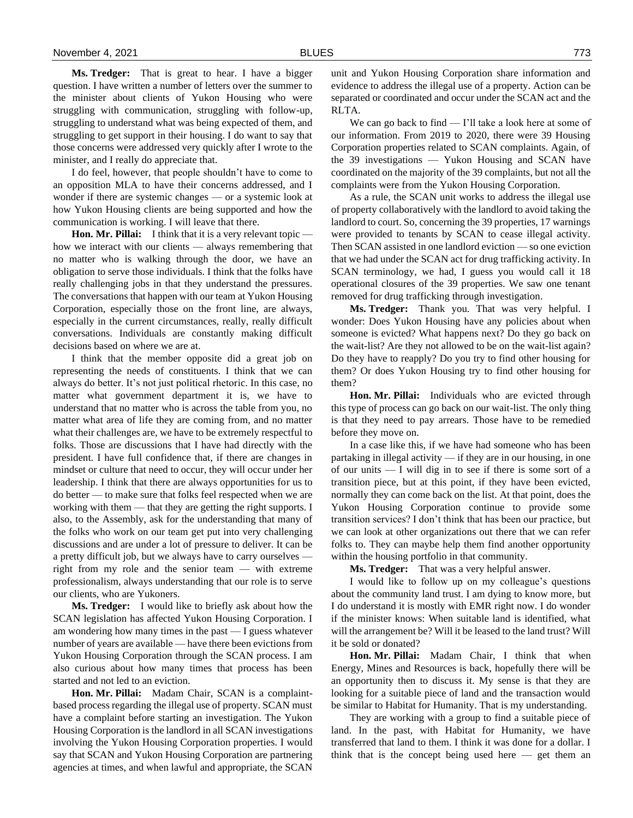**Ms. Tredger:** That is great to hear. I have a bigger question. I have written a number of letters over the summer to the minister about clients of Yukon Housing who were struggling with communication, struggling with follow-up, struggling to understand what was being expected of them, and struggling to get support in their housing. I do want to say that those concerns were addressed very quickly after I wrote to the minister, and I really do appreciate that.

I do feel, however, that people shouldn't have to come to an opposition MLA to have their concerns addressed, and I wonder if there are systemic changes — or a systemic look at how Yukon Housing clients are being supported and how the communication is working. I will leave that there.

**Hon. Mr. Pillai:** I think that it is a very relevant topic how we interact with our clients — always remembering that no matter who is walking through the door, we have an obligation to serve those individuals. I think that the folks have really challenging jobs in that they understand the pressures. The conversations that happen with our team at Yukon Housing Corporation, especially those on the front line, are always, especially in the current circumstances, really, really difficult conversations. Individuals are constantly making difficult decisions based on where we are at.

I think that the member opposite did a great job on representing the needs of constituents. I think that we can always do better. It's not just political rhetoric. In this case, no matter what government department it is, we have to understand that no matter who is across the table from you, no matter what area of life they are coming from, and no matter what their challenges are, we have to be extremely respectful to folks. Those are discussions that I have had directly with the president. I have full confidence that, if there are changes in mindset or culture that need to occur, they will occur under her leadership. I think that there are always opportunities for us to do better — to make sure that folks feel respected when we are working with them — that they are getting the right supports. I also, to the Assembly, ask for the understanding that many of the folks who work on our team get put into very challenging discussions and are under a lot of pressure to deliver. It can be a pretty difficult job, but we always have to carry ourselves right from my role and the senior team — with extreme professionalism, always understanding that our role is to serve our clients, who are Yukoners.

**Ms. Tredger:** I would like to briefly ask about how the SCAN legislation has affected Yukon Housing Corporation. I am wondering how many times in the past — I guess whatever number of years are available — have there been evictions from Yukon Housing Corporation through the SCAN process. I am also curious about how many times that process has been started and not led to an eviction.

**Hon. Mr. Pillai:** Madam Chair, SCAN is a complaintbased process regarding the illegal use of property. SCAN must have a complaint before starting an investigation. The Yukon Housing Corporation is the landlord in all SCAN investigations involving the Yukon Housing Corporation properties. I would say that SCAN and Yukon Housing Corporation are partnering agencies at times, and when lawful and appropriate, the SCAN

unit and Yukon Housing Corporation share information and evidence to address the illegal use of a property. Action can be separated or coordinated and occur under the SCAN act and the RLTA.

We can go back to find  $-$  I'll take a look here at some of our information. From 2019 to 2020, there were 39 Housing Corporation properties related to SCAN complaints. Again, of the 39 investigations — Yukon Housing and SCAN have coordinated on the majority of the 39 complaints, but not all the complaints were from the Yukon Housing Corporation.

As a rule, the SCAN unit works to address the illegal use of property collaboratively with the landlord to avoid taking the landlord to court. So, concerning the 39 properties, 17 warnings were provided to tenants by SCAN to cease illegal activity. Then SCAN assisted in one landlord eviction — so one eviction that we had under the SCAN act for drug trafficking activity. In SCAN terminology, we had, I guess you would call it 18 operational closures of the 39 properties. We saw one tenant removed for drug trafficking through investigation.

**Ms. Tredger:** Thank you. That was very helpful. I wonder: Does Yukon Housing have any policies about when someone is evicted? What happens next? Do they go back on the wait-list? Are they not allowed to be on the wait-list again? Do they have to reapply? Do you try to find other housing for them? Or does Yukon Housing try to find other housing for them?

**Hon. Mr. Pillai:** Individuals who are evicted through this type of process can go back on our wait-list. The only thing is that they need to pay arrears. Those have to be remedied before they move on.

In a case like this, if we have had someone who has been partaking in illegal activity — if they are in our housing, in one of our units — I will dig in to see if there is some sort of a transition piece, but at this point, if they have been evicted, normally they can come back on the list. At that point, does the Yukon Housing Corporation continue to provide some transition services? I don't think that has been our practice, but we can look at other organizations out there that we can refer folks to. They can maybe help them find another opportunity within the housing portfolio in that community.

**Ms. Tredger:** That was a very helpful answer.

I would like to follow up on my colleague's questions about the community land trust. I am dying to know more, but I do understand it is mostly with EMR right now. I do wonder if the minister knows: When suitable land is identified, what will the arrangement be? Will it be leased to the land trust? Will it be sold or donated?

**Hon. Mr. Pillai:** Madam Chair, I think that when Energy, Mines and Resources is back, hopefully there will be an opportunity then to discuss it. My sense is that they are looking for a suitable piece of land and the transaction would be similar to Habitat for Humanity. That is my understanding.

They are working with a group to find a suitable piece of land. In the past, with Habitat for Humanity, we have transferred that land to them. I think it was done for a dollar. I think that is the concept being used here  $-$  get them an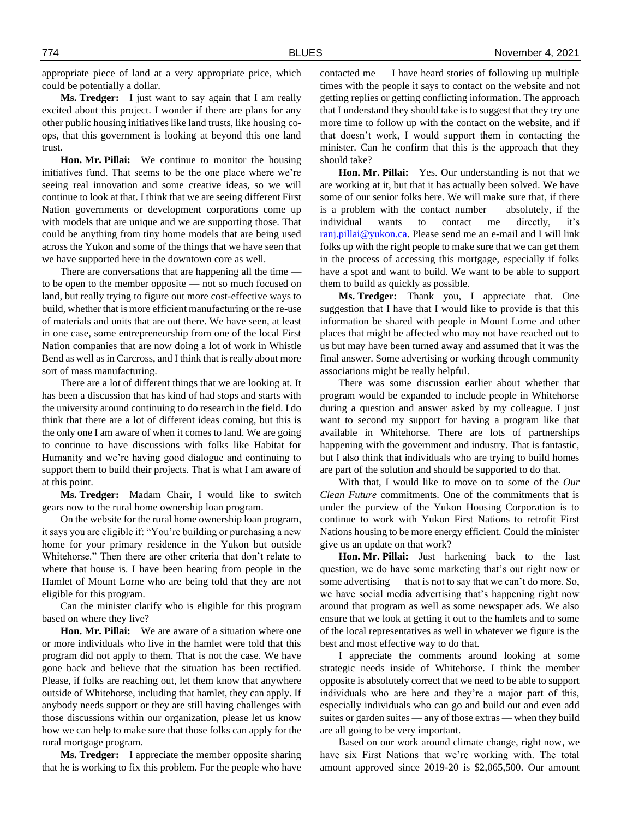appropriate piece of land at a very appropriate price, which could be potentially a dollar.

**Ms. Tredger:** I just want to say again that I am really excited about this project. I wonder if there are plans for any other public housing initiatives like land trusts, like housing coops, that this government is looking at beyond this one land trust.

**Hon. Mr. Pillai:** We continue to monitor the housing initiatives fund. That seems to be the one place where we're seeing real innovation and some creative ideas, so we will continue to look at that. I think that we are seeing different First Nation governments or development corporations come up with models that are unique and we are supporting those. That could be anything from tiny home models that are being used across the Yukon and some of the things that we have seen that we have supported here in the downtown core as well.

There are conversations that are happening all the time to be open to the member opposite — not so much focused on land, but really trying to figure out more cost-effective ways to build, whether that is more efficient manufacturing or the re-use of materials and units that are out there. We have seen, at least in one case, some entrepreneurship from one of the local First Nation companies that are now doing a lot of work in Whistle Bend as well as in Carcross, and I think that is really about more sort of mass manufacturing.

There are a lot of different things that we are looking at. It has been a discussion that has kind of had stops and starts with the university around continuing to do research in the field. I do think that there are a lot of different ideas coming, but this is the only one I am aware of when it comes to land. We are going to continue to have discussions with folks like Habitat for Humanity and we're having good dialogue and continuing to support them to build their projects. That is what I am aware of at this point.

**Ms. Tredger:** Madam Chair, I would like to switch gears now to the rural home ownership loan program.

On the website for the rural home ownership loan program, it says you are eligible if: "You're building or purchasing a new home for your primary residence in the Yukon but outside Whitehorse." Then there are other criteria that don't relate to where that house is. I have been hearing from people in the Hamlet of Mount Lorne who are being told that they are not eligible for this program.

Can the minister clarify who is eligible for this program based on where they live?

**Hon. Mr. Pillai:** We are aware of a situation where one or more individuals who live in the hamlet were told that this program did not apply to them. That is not the case. We have gone back and believe that the situation has been rectified. Please, if folks are reaching out, let them know that anywhere outside of Whitehorse, including that hamlet, they can apply. If anybody needs support or they are still having challenges with those discussions within our organization, please let us know how we can help to make sure that those folks can apply for the rural mortgage program.

**Ms. Tredger:** I appreciate the member opposite sharing that he is working to fix this problem. For the people who have contacted me  $-1$  have heard stories of following up multiple times with the people it says to contact on the website and not getting replies or getting conflicting information. The approach that I understand they should take is to suggest that they try one more time to follow up with the contact on the website, and if that doesn't work, I would support them in contacting the minister. Can he confirm that this is the approach that they should take?

**Hon. Mr. Pillai:** Yes. Our understanding is not that we are working at it, but that it has actually been solved. We have some of our senior folks here. We will make sure that, if there is a problem with the contact number — absolutely, if the individual wants to contact me directly, it's [ranj.pillai@yukon.ca.](mailto:ranj.pillai@yukon.ca) Please send me an e-mail and I will link folks up with the right people to make sure that we can get them in the process of accessing this mortgage, especially if folks have a spot and want to build. We want to be able to support them to build as quickly as possible.

**Ms. Tredger:** Thank you, I appreciate that. One suggestion that I have that I would like to provide is that this information be shared with people in Mount Lorne and other places that might be affected who may not have reached out to us but may have been turned away and assumed that it was the final answer. Some advertising or working through community associations might be really helpful.

There was some discussion earlier about whether that program would be expanded to include people in Whitehorse during a question and answer asked by my colleague. I just want to second my support for having a program like that available in Whitehorse. There are lots of partnerships happening with the government and industry. That is fantastic, but I also think that individuals who are trying to build homes are part of the solution and should be supported to do that.

With that, I would like to move on to some of the *Our Clean Future* commitments. One of the commitments that is under the purview of the Yukon Housing Corporation is to continue to work with Yukon First Nations to retrofit First Nations housing to be more energy efficient. Could the minister give us an update on that work?

**Hon. Mr. Pillai:** Just harkening back to the last question, we do have some marketing that's out right now or some advertising — that is not to say that we can't do more. So, we have social media advertising that's happening right now around that program as well as some newspaper ads. We also ensure that we look at getting it out to the hamlets and to some of the local representatives as well in whatever we figure is the best and most effective way to do that.

I appreciate the comments around looking at some strategic needs inside of Whitehorse. I think the member opposite is absolutely correct that we need to be able to support individuals who are here and they're a major part of this, especially individuals who can go and build out and even add suites or garden suites — any of those extras — when they build are all going to be very important.

Based on our work around climate change, right now, we have six First Nations that we're working with. The total amount approved since 2019-20 is \$2,065,500. Our amount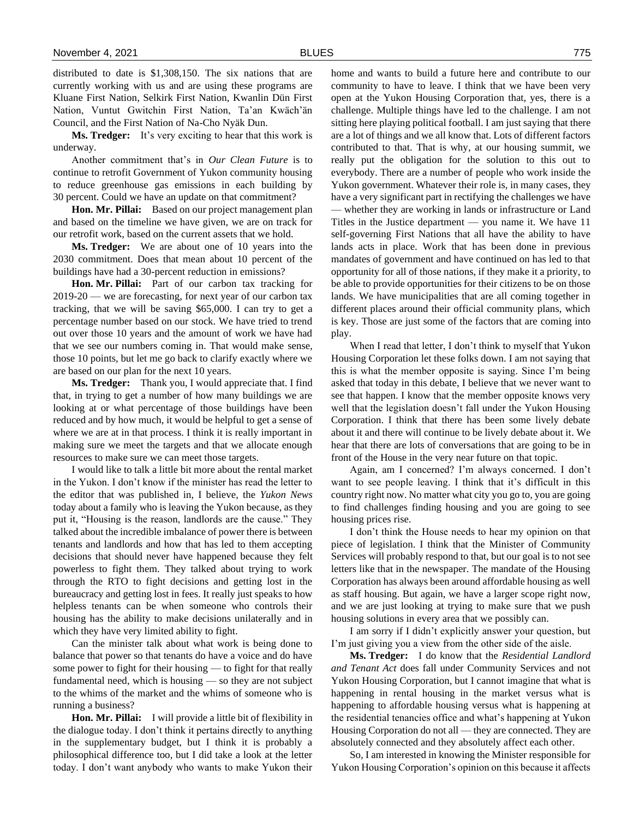distributed to date is \$1,308,150. The six nations that are currently working with us and are using these programs are Kluane First Nation, Selkirk First Nation, Kwanlin Dün First Nation, Vuntut Gwitchin First Nation, Ta'an Kwäch'än Council, and the First Nation of Na-Cho Nyäk Dun.

**Ms. Tredger:** It's very exciting to hear that this work is underway.

Another commitment that's in *Our Clean Future* is to continue to retrofit Government of Yukon community housing to reduce greenhouse gas emissions in each building by 30 percent. Could we have an update on that commitment?

**Hon. Mr. Pillai:** Based on our project management plan and based on the timeline we have given, we are on track for our retrofit work, based on the current assets that we hold.

**Ms. Tredger:** We are about one of 10 years into the 2030 commitment. Does that mean about 10 percent of the buildings have had a 30-percent reduction in emissions?

**Hon. Mr. Pillai:** Part of our carbon tax tracking for 2019-20 — we are forecasting, for next year of our carbon tax tracking, that we will be saving \$65,000. I can try to get a percentage number based on our stock. We have tried to trend out over those 10 years and the amount of work we have had that we see our numbers coming in. That would make sense, those 10 points, but let me go back to clarify exactly where we are based on our plan for the next 10 years.

**Ms. Tredger:** Thank you, I would appreciate that. I find that, in trying to get a number of how many buildings we are looking at or what percentage of those buildings have been reduced and by how much, it would be helpful to get a sense of where we are at in that process. I think it is really important in making sure we meet the targets and that we allocate enough resources to make sure we can meet those targets.

I would like to talk a little bit more about the rental market in the Yukon. I don't know if the minister has read the letter to the editor that was published in, I believe, the *Yukon News*  today about a family who is leaving the Yukon because, as they put it, "Housing is the reason, landlords are the cause." They talked about the incredible imbalance of power there is between tenants and landlords and how that has led to them accepting decisions that should never have happened because they felt powerless to fight them. They talked about trying to work through the RTO to fight decisions and getting lost in the bureaucracy and getting lost in fees. It really just speaks to how helpless tenants can be when someone who controls their housing has the ability to make decisions unilaterally and in which they have very limited ability to fight.

Can the minister talk about what work is being done to balance that power so that tenants do have a voice and do have some power to fight for their housing — to fight for that really fundamental need, which is housing — so they are not subject to the whims of the market and the whims of someone who is running a business?

**Hon. Mr. Pillai:** I will provide a little bit of flexibility in the dialogue today. I don't think it pertains directly to anything in the supplementary budget, but I think it is probably a philosophical difference too, but I did take a look at the letter today. I don't want anybody who wants to make Yukon their

home and wants to build a future here and contribute to our community to have to leave. I think that we have been very open at the Yukon Housing Corporation that, yes, there is a challenge. Multiple things have led to the challenge. I am not sitting here playing political football. I am just saying that there are a lot of things and we all know that. Lots of different factors contributed to that. That is why, at our housing summit, we really put the obligation for the solution to this out to everybody. There are a number of people who work inside the Yukon government. Whatever their role is, in many cases, they have a very significant part in rectifying the challenges we have — whether they are working in lands or infrastructure or Land Titles in the Justice department — you name it. We have 11 self-governing First Nations that all have the ability to have lands acts in place. Work that has been done in previous mandates of government and have continued on has led to that opportunity for all of those nations, if they make it a priority, to be able to provide opportunities for their citizens to be on those lands. We have municipalities that are all coming together in different places around their official community plans, which is key. Those are just some of the factors that are coming into play.

When I read that letter, I don't think to myself that Yukon Housing Corporation let these folks down. I am not saying that this is what the member opposite is saying. Since I'm being asked that today in this debate, I believe that we never want to see that happen. I know that the member opposite knows very well that the legislation doesn't fall under the Yukon Housing Corporation. I think that there has been some lively debate about it and there will continue to be lively debate about it. We hear that there are lots of conversations that are going to be in front of the House in the very near future on that topic.

Again, am I concerned? I'm always concerned. I don't want to see people leaving. I think that it's difficult in this country right now. No matter what city you go to, you are going to find challenges finding housing and you are going to see housing prices rise.

I don't think the House needs to hear my opinion on that piece of legislation. I think that the Minister of Community Services will probably respond to that, but our goal is to not see letters like that in the newspaper. The mandate of the Housing Corporation has always been around affordable housing as well as staff housing. But again, we have a larger scope right now, and we are just looking at trying to make sure that we push housing solutions in every area that we possibly can.

I am sorry if I didn't explicitly answer your question, but I'm just giving you a view from the other side of the aisle.

**Ms. Tredger:** I do know that the *Residential Landlord and Tenant Act* does fall under Community Services and not Yukon Housing Corporation, but I cannot imagine that what is happening in rental housing in the market versus what is happening to affordable housing versus what is happening at the residential tenancies office and what's happening at Yukon Housing Corporation do not all — they are connected. They are absolutely connected and they absolutely affect each other.

So, I am interested in knowing the Minister responsible for Yukon Housing Corporation's opinion on this because it affects